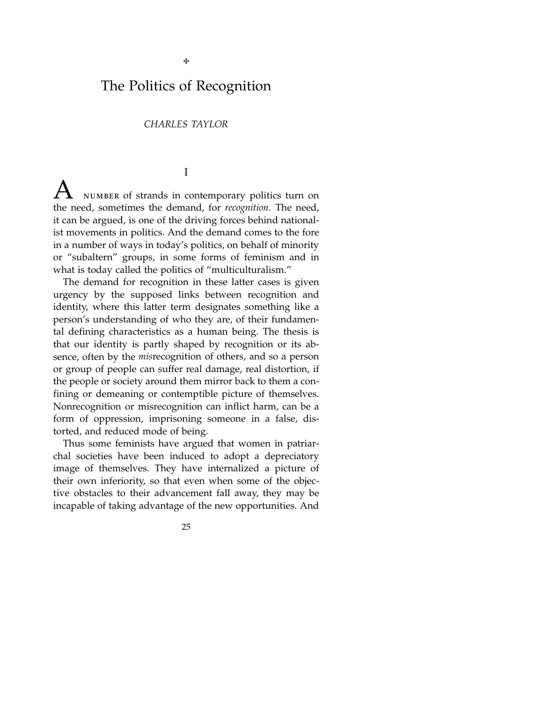# The Politics of Recognition

# *CHARLES TAYLOR*

# I

A NUMBER of strands in contemporary politics turn on the need, sometimes the demand, for *recognition*. The need, it can be argued, is one of the driving forces behind nationalist movements in politics. And the demand comes to the fore in a number of ways in today's politics, on behalf of minority or "subaltern" groups, in some forms of feminism and in what is today called the politics of "multiculturalism."

The demand for recognition in these latter cases is given urgency by the supposed links between recognition and identity, where this latter term designates something like a person's understanding of who they are, of their fundamental defining characteristics as a human being. The thesis is that our identity is partly shaped by recognition or its absence, often by the *mis*recognition of others, and so a person or group of people can suffer real damage, real distortion, if the people or society around them mirror back to them a confining or demeaning or contemptible picture of themselves. Nonrecognition or misrecognition can inflict harm, can be a form of oppression, imprisoning someone in a false, distorted, and reduced mode of being.

Thus some feminists have argued that women in patriarchal societies have been induced to adopt a depreciatory image of themselves. They have internalized a picture of their own inferiority, so that even when some of the objective obstacles to their advancement fall away, they may be incapable of taking advantage of the new opportunities. And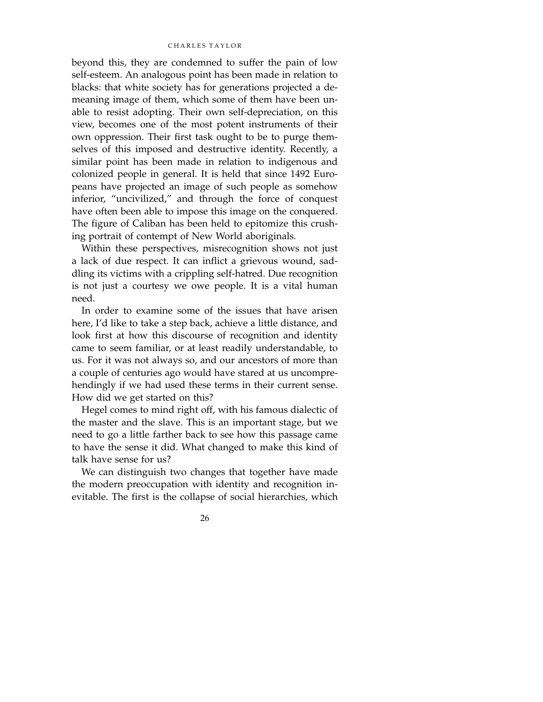beyond this, they are condemned to suffer the pain of low self-esteem. An analogous point has been made in relation to blacks: that white society has for generations projected a demeaning image of them, which some of them have been unable to resist adopting. Their own self-depreciation, on this view, becomes one of the most potent instruments of their own oppression. Their first task ought to be to purge themselves of this imposed and destructive identity. Recently, a similar point has been made in relation to indigenous and colonized people in general. It is held that since 1492 Europeans have projected an image of such people as somehow inferior, "uncivilized," and through the force of conquest have often been able to impose this image on the conquered. The figure of Caliban has been held to epitomize this crushing portrait of contempt of New World aboriginals.

Within these perspectives, misrecognition shows not just a lack of due respect. It can inflict a grievous wound, saddling its victims with a crippling self-hatred. Due recognition is not just a courtesy we owe people. It is a vital human need.

In order to examine some of the issues that have arisen here, I'd like to take a step back, achieve a little distance, and look first at how this discourse of recognition and identity came to seem familiar, or at least readily understandable, to us. For it was not always so, and our ancestors of more than a couple of centuries ago would have stared at us uncomprehendingly if we had used these terms in their current sense. How did we get started on this?

Hegel comes to mind right off, with his famous dialectic of the master and the slave. This is an important stage, but we need to go a little farther back to see how this passage came to have the sense it did. What changed to make this kind of talk have sense for us?

We can distinguish two changes that together have made the modern preoccupation with identity and recognition inevitable. The first is the collapse of social hierarchies, which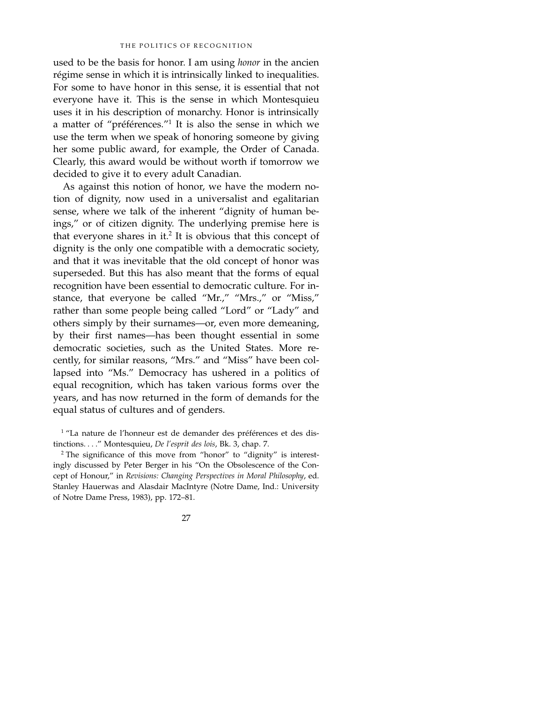used to be the basis for honor. I am using *honor* in the ancien régime sense in which it is intrinsically linked to inequalities. For some to have honor in this sense, it is essential that not everyone have it. This is the sense in which Montesquieu uses it in his description of monarchy. Honor is intrinsically a matter of "préférences."1 It is also the sense in which we use the term when we speak of honoring someone by giving her some public award, for example, the Order of Canada. Clearly, this award would be without worth if tomorrow we decided to give it to every adult Canadian.

As against this notion of honor, we have the modern notion of dignity, now used in a universalist and egalitarian sense, where we talk of the inherent "dignity of human beings," or of citizen dignity. The underlying premise here is that everyone shares in it.<sup>2</sup> It is obvious that this concept of dignity is the only one compatible with a democratic society, and that it was inevitable that the old concept of honor was superseded. But this has also meant that the forms of equal recognition have been essential to democratic culture. For instance, that everyone be called "Mr.," "Mrs.," or "Miss," rather than some people being called "Lord" or "Lady" and others simply by their surnames—or, even more demeaning, by their first names—has been thought essential in some democratic societies, such as the United States. More recently, for similar reasons, "Mrs." and "Miss" have been collapsed into "Ms." Democracy has ushered in a politics of equal recognition, which has taken various forms over the years, and has now returned in the form of demands for the equal status of cultures and of genders.

<sup>&</sup>lt;sup>1</sup> "La nature de l'honneur est de demander des préférences et des distinctions. . . ." Montesquieu, *De l'esprit des lois*, Bk. 3, chap. 7.

<sup>2</sup> The significance of this move from "honor" to "dignity" is interestingly discussed by Peter Berger in his "On the Obsolescence of the Concept of Honour," in *Revisions: Changing Perspectives in Moral Philosophy*, ed. Stanley Hauerwas and Alasdair MacIntyre (Notre Dame, Ind.: University of Notre Dame Press, 1983), pp. 172–81.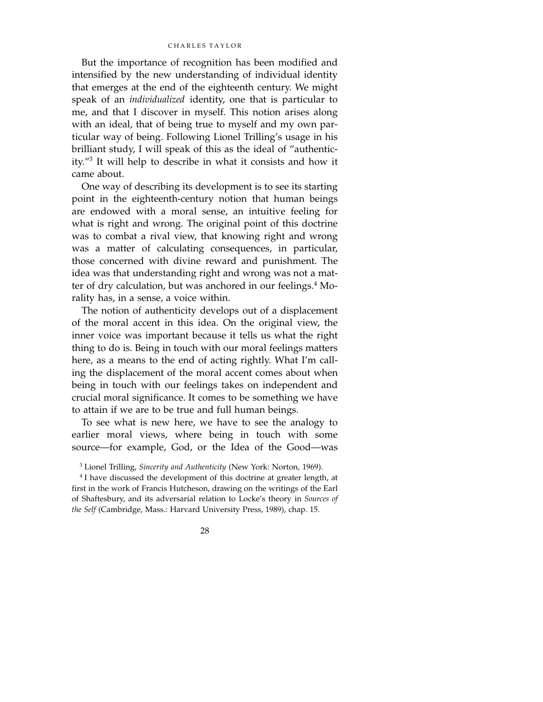But the importance of recognition has been modified and intensified by the new understanding of individual identity that emerges at the end of the eighteenth century. We might speak of an *individualized* identity, one that is particular to me, and that I discover in myself. This notion arises along with an ideal, that of being true to myself and my own particular way of being. Following Lionel Trilling's usage in his brilliant study, I will speak of this as the ideal of "authenticity."3 It will help to describe in what it consists and how it came about.

One way of describing its development is to see its starting point in the eighteenth-century notion that human beings are endowed with a moral sense, an intuitive feeling for what is right and wrong. The original point of this doctrine was to combat a rival view, that knowing right and wrong was a matter of calculating consequences, in particular, those concerned with divine reward and punishment. The idea was that understanding right and wrong was not a matter of dry calculation, but was anchored in our feelings.<sup>4</sup> Morality has, in a sense, a voice within.

The notion of authenticity develops out of a displacement of the moral accent in this idea. On the original view, the inner voice was important because it tells us what the right thing to do is. Being in touch with our moral feelings matters here, as a means to the end of acting rightly. What I'm calling the displacement of the moral accent comes about when being in touch with our feelings takes on independent and crucial moral significance. It comes to be something we have to attain if we are to be true and full human beings.

To see what is new here, we have to see the analogy to earlier moral views, where being in touch with some source—for example, God, or the Idea of the Good—was

<sup>3</sup> Lionel Trilling, *Sincerity and Authenticity* (New York: Norton, 1969).

<sup>&</sup>lt;sup>4</sup> I have discussed the development of this doctrine at greater length, at first in the work of Francis Hutcheson, drawing on the writings of the Earl of Shaftesbury, and its adversarial relation to Locke's theory in *Sources of the Self* (Cambridge, Mass.: Harvard University Press, 1989), chap. 15.

<sup>28</sup>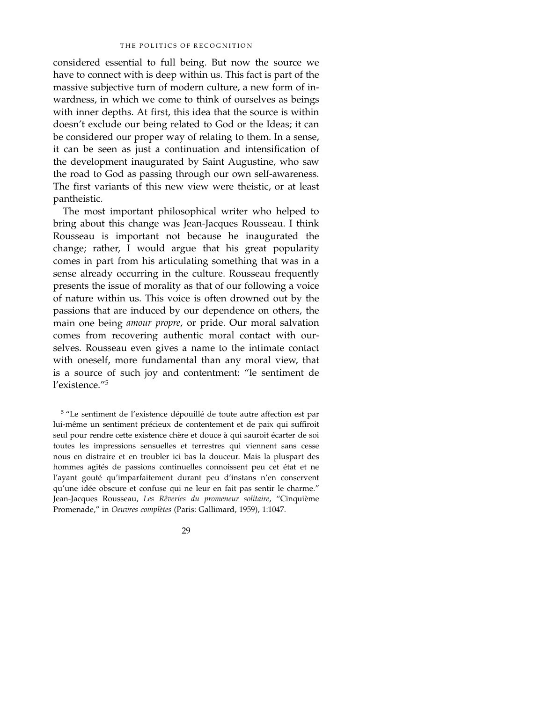considered essential to full being. But now the source we have to connect with is deep within us. This fact is part of the massive subjective turn of modern culture, a new form of inwardness, in which we come to think of ourselves as beings with inner depths. At first, this idea that the source is within doesn't exclude our being related to God or the Ideas; it can be considered our proper way of relating to them. In a sense, it can be seen as just a continuation and intensification of the development inaugurated by Saint Augustine, who saw the road to God as passing through our own self-awareness. The first variants of this new view were theistic, or at least pantheistic.

The most important philosophical writer who helped to bring about this change was Jean-Jacques Rousseau. I think Rousseau is important not because he inaugurated the change; rather, I would argue that his great popularity comes in part from his articulating something that was in a sense already occurring in the culture. Rousseau frequently presents the issue of morality as that of our following a voice of nature within us. This voice is often drowned out by the passions that are induced by our dependence on others, the main one being *amour propre*, or pride. Our moral salvation comes from recovering authentic moral contact with ourselves. Rousseau even gives a name to the intimate contact with oneself, more fundamental than any moral view, that is a source of such joy and contentment: "le sentiment de l'existence."5

 $^{\rm 5~\prime\prime}$  Le sentiment de l'existence dépouillé de toute autre affection est par lui-même un sentiment précieux de contentement et de paix qui suffiroit seul pour rendre cette existence chère et douce à qui sauroit écarter de soi toutes les impressions sensuelles et terrestres qui viennent sans cesse nous en distraire et en troubler ici bas la douceur. Mais la pluspart des hommes agités de passions continuelles connoissent peu cet état et ne l'ayant gouté qu'imparfaitement durant peu d'instans n'en conservent qu'une idée obscure et confuse qui ne leur en fait pas sentir le charme." Jean-Jacques Rousseau, *Les Rêveries du promeneur solitaire*, "Cinquième Promenade," in *Oeuvres complètes* (Paris: Gallimard, 1959), 1:1047.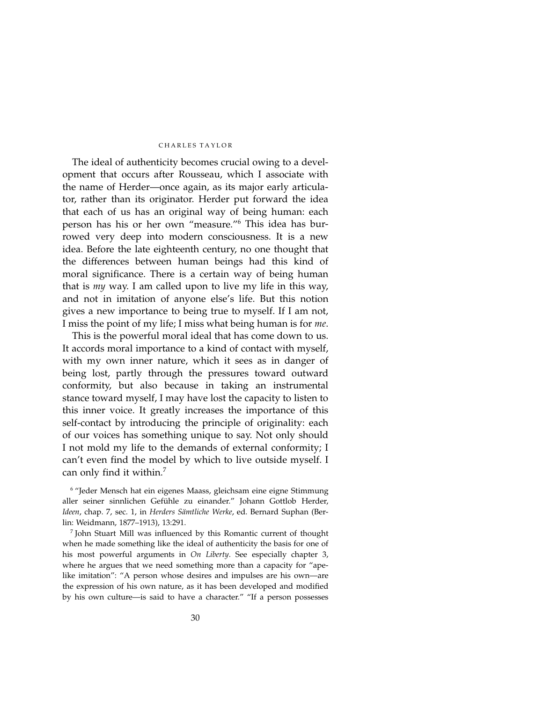The ideal of authenticity becomes crucial owing to a development that occurs after Rousseau, which I associate with the name of Herder—once again, as its major early articulator, rather than its originator. Herder put forward the idea that each of us has an original way of being human: each person has his or her own "measure."6 This idea has burrowed very deep into modern consciousness. It is a new idea. Before the late eighteenth century, no one thought that the differences between human beings had this kind of moral significance. There is a certain way of being human that is *my* way. I am called upon to live my life in this way, and not in imitation of anyone else's life. But this notion gives a new importance to being true to myself. If I am not, I miss the point of my life; I miss what being human is for *me*.

This is the powerful moral ideal that has come down to us. It accords moral importance to a kind of contact with myself, with my own inner nature, which it sees as in danger of being lost, partly through the pressures toward outward conformity, but also because in taking an instrumental stance toward myself, I may have lost the capacity to listen to this inner voice. It greatly increases the importance of this self-contact by introducing the principle of originality: each of our voices has something unique to say. Not only should I not mold my life to the demands of external conformity; I can't even find the model by which to live outside myself. I can only find it within.<sup>7</sup>

<sup>7</sup> John Stuart Mill was influenced by this Romantic current of thought when he made something like the ideal of authenticity the basis for one of his most powerful arguments in *On Liberty*. See especially chapter 3, where he argues that we need something more than a capacity for "apelike imitation": "A person whose desires and impulses are his own—are the expression of his own nature, as it has been developed and modified by his own culture—is said to have a character." "If a person possesses

<sup>&</sup>lt;sup>6</sup> "Jeder Mensch hat ein eigenes Maass, gleichsam eine eigne Stimmung aller seiner sinnlichen Gefühle zu einander." Johann Gottlob Herder, *Ideen*, chap. 7, sec. 1, in *Herders Sämtliche Werke*, ed. Bernard Suphan (Berlin: Weidmann, 1877–1913), 13:291.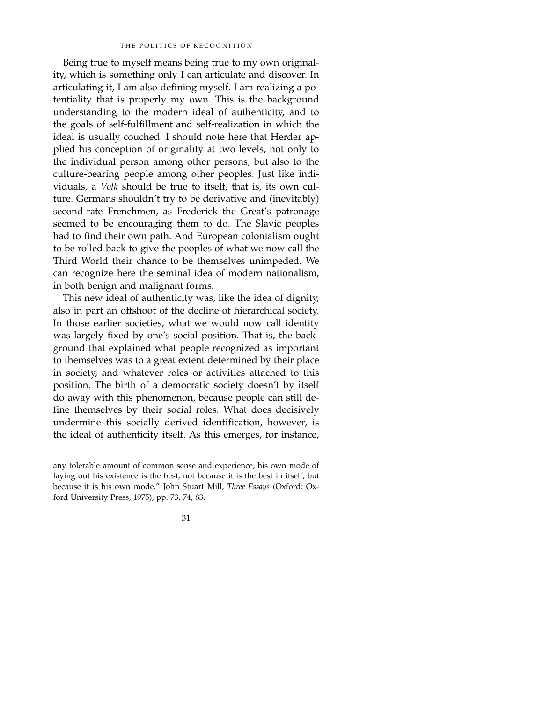# THE POLITICS OF RECOGNITION

Being true to myself means being true to my own originality, which is something only I can articulate and discover. In articulating it, I am also defining myself. I am realizing a potentiality that is properly my own. This is the background understanding to the modern ideal of authenticity, and to the goals of self-fulfillment and self-realization in which the ideal is usually couched. I should note here that Herder applied his conception of originality at two levels, not only to the individual person among other persons, but also to the culture-bearing people among other peoples. Just like individuals, a *Volk* should be true to itself, that is, its own culture. Germans shouldn't try to be derivative and (inevitably) second-rate Frenchmen, as Frederick the Great's patronage seemed to be encouraging them to do. The Slavic peoples had to find their own path. And European colonialism ought to be rolled back to give the peoples of what we now call the Third World their chance to be themselves unimpeded. We can recognize here the seminal idea of modern nationalism, in both benign and malignant forms.

This new ideal of authenticity was, like the idea of dignity, also in part an offshoot of the decline of hierarchical society. In those earlier societies, what we would now call identity was largely fixed by one's social position. That is, the background that explained what people recognized as important to themselves was to a great extent determined by their place in society, and whatever roles or activities attached to this position. The birth of a democratic society doesn't by itself do away with this phenomenon, because people can still define themselves by their social roles. What does decisively undermine this socially derived identification, however, is the ideal of authenticity itself. As this emerges, for instance,

any tolerable amount of common sense and experience, his own mode of laying out his existence is the best, not because it is the best in itself, but because it is his own mode." John Stuart Mill, *Three Essays* (Oxford: Oxford University Press, 1975), pp. 73, 74, 83.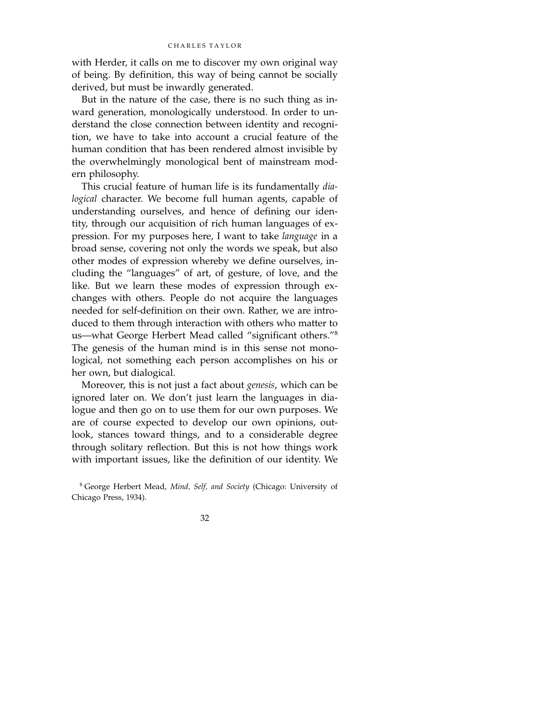with Herder, it calls on me to discover my own original way of being. By definition, this way of being cannot be socially derived, but must be inwardly generated.

But in the nature of the case, there is no such thing as inward generation, monologically understood. In order to understand the close connection between identity and recognition, we have to take into account a crucial feature of the human condition that has been rendered almost invisible by the overwhelmingly monological bent of mainstream modern philosophy.

This crucial feature of human life is its fundamentally *dialogical* character. We become full human agents, capable of understanding ourselves, and hence of defining our identity, through our acquisition of rich human languages of expression. For my purposes here, I want to take *language* in a broad sense, covering not only the words we speak, but also other modes of expression whereby we define ourselves, including the "languages" of art, of gesture, of love, and the like. But we learn these modes of expression through exchanges with others. People do not acquire the languages needed for self-definition on their own. Rather, we are introduced to them through interaction with others who matter to us—what George Herbert Mead called "significant others."<sup>8</sup> The genesis of the human mind is in this sense not monological, not something each person accomplishes on his or her own, but dialogical.

Moreover, this is not just a fact about *genesis*, which can be ignored later on. We don't just learn the languages in dialogue and then go on to use them for our own purposes. We are of course expected to develop our own opinions, outlook, stances toward things, and to a considerable degree through solitary reflection. But this is not how things work with important issues, like the definition of our identity. We

<sup>8</sup> George Herbert Mead, *Mind, Self, and Society* (Chicago: University of Chicago Press, 1934).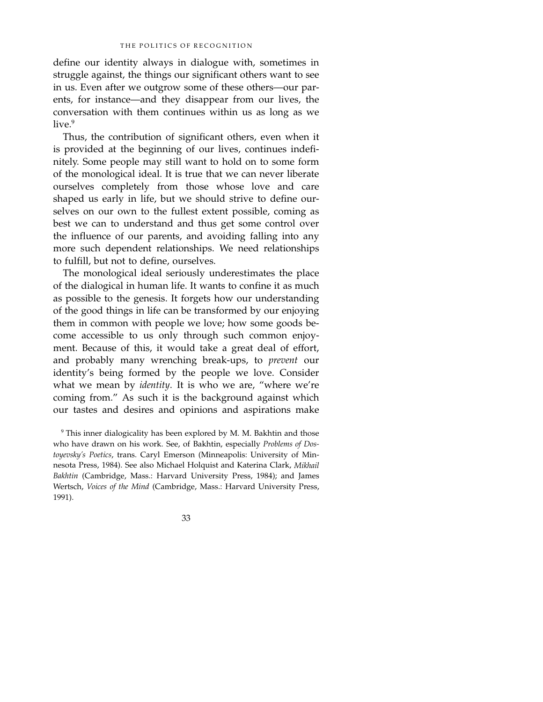define our identity always in dialogue with, sometimes in struggle against, the things our significant others want to see in us. Even after we outgrow some of these others—our parents, for instance—and they disappear from our lives, the conversation with them continues within us as long as we  $live<sup>9</sup>$ 

Thus, the contribution of significant others, even when it is provided at the beginning of our lives, continues indefinitely. Some people may still want to hold on to some form of the monological ideal. It is true that we can never liberate ourselves completely from those whose love and care shaped us early in life, but we should strive to define ourselves on our own to the fullest extent possible, coming as best we can to understand and thus get some control over the influence of our parents, and avoiding falling into any more such dependent relationships. We need relationships to fulfill, but not to define, ourselves.

The monological ideal seriously underestimates the place of the dialogical in human life. It wants to confine it as much as possible to the genesis. It forgets how our understanding of the good things in life can be transformed by our enjoying them in common with people we love; how some goods become accessible to us only through such common enjoyment. Because of this, it would take a great deal of effort, and probably many wrenching break-ups, to *prevent* our identity's being formed by the people we love. Consider what we mean by *identity*. It is who we are, "where we're coming from." As such it is the background against which our tastes and desires and opinions and aspirations make

<sup>9</sup> This inner dialogicality has been explored by M. M. Bakhtin and those who have drawn on his work. See, of Bakhtin, especially *Problems of Dostoyevsky's Poetics*, trans. Caryl Emerson (Minneapolis: University of Minnesota Press, 1984). See also Michael Holquist and Katerina Clark, *Mikhail Bakhtin* (Cambridge, Mass.: Harvard University Press, 1984); and James Wertsch, *Voices of the Mind* (Cambridge, Mass.: Harvard University Press, 1991).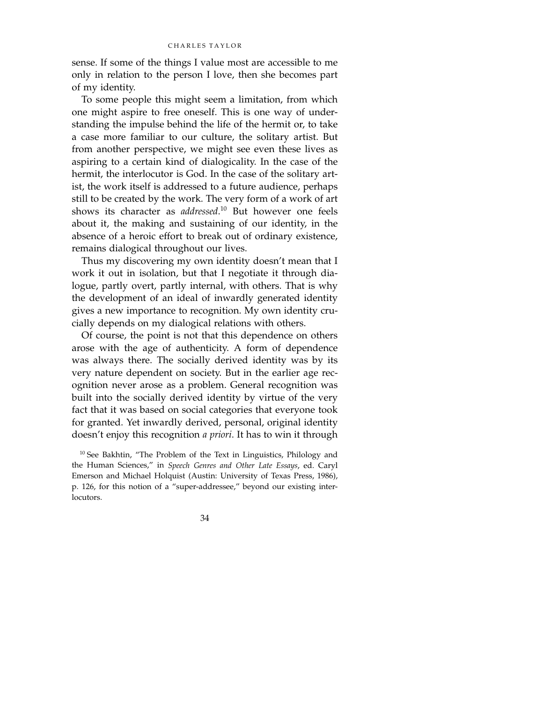sense. If some of the things I value most are accessible to me only in relation to the person I love, then she becomes part of my identity.

To some people this might seem a limitation, from which one might aspire to free oneself. This is one way of understanding the impulse behind the life of the hermit or, to take a case more familiar to our culture, the solitary artist. But from another perspective, we might see even these lives as aspiring to a certain kind of dialogicality. In the case of the hermit, the interlocutor is God. In the case of the solitary artist, the work itself is addressed to a future audience, perhaps still to be created by the work. The very form of a work of art shows its character as *addressed*. <sup>10</sup> But however one feels about it, the making and sustaining of our identity, in the absence of a heroic effort to break out of ordinary existence, remains dialogical throughout our lives.

Thus my discovering my own identity doesn't mean that I work it out in isolation, but that I negotiate it through dialogue, partly overt, partly internal, with others. That is why the development of an ideal of inwardly generated identity gives a new importance to recognition. My own identity crucially depends on my dialogical relations with others.

Of course, the point is not that this dependence on others arose with the age of authenticity. A form of dependence was always there. The socially derived identity was by its very nature dependent on society. But in the earlier age recognition never arose as a problem. General recognition was built into the socially derived identity by virtue of the very fact that it was based on social categories that everyone took for granted. Yet inwardly derived, personal, original identity doesn't enjoy this recognition *a priori*. It has to win it through

 $10$  See Bakhtin, "The Problem of the Text in Linguistics, Philology and the Human Sciences," in *Speech Genres and Other Late Essays*, ed. Caryl Emerson and Michael Holquist (Austin: University of Texas Press, 1986), p. 126, for this notion of a "super-addressee," beyond our existing interlocutors.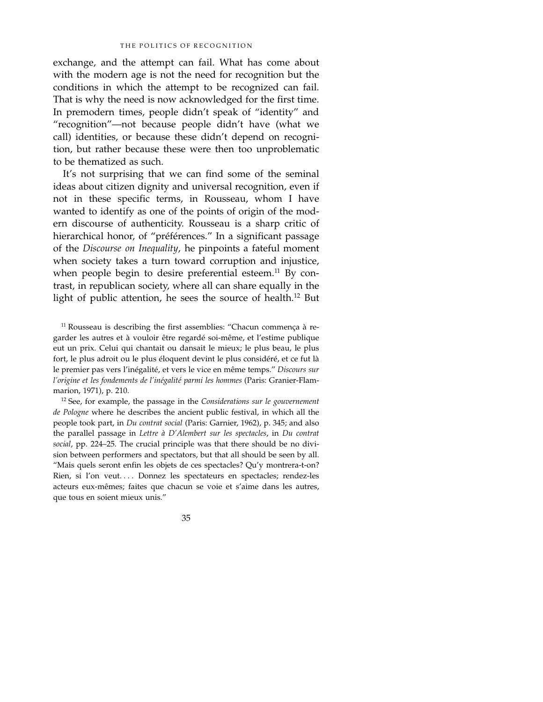exchange, and the attempt can fail. What has come about with the modern age is not the need for recognition but the conditions in which the attempt to be recognized can fail. That is why the need is now acknowledged for the first time. In premodern times, people didn't speak of "identity" and "recognition"—not because people didn't have (what we call) identities, or because these didn't depend on recognition, but rather because these were then too unproblematic to be thematized as such.

It's not surprising that we can find some of the seminal ideas about citizen dignity and universal recognition, even if not in these specific terms, in Rousseau, whom I have wanted to identify as one of the points of origin of the modern discourse of authenticity. Rousseau is a sharp critic of hierarchical honor, of "préférences." In a significant passage of the *Discourse on Inequality*, he pinpoints a fateful moment when society takes a turn toward corruption and injustice, when people begin to desire preferential esteem.<sup>11</sup> By contrast, in republican society, where all can share equally in the light of public attention, he sees the source of health.<sup>12</sup> But

 $11$  Rousseau is describing the first assemblies: "Chacun commença à regarder les autres et à vouloir être regardé soi-même, et l'estime publique eut un prix. Celui qui chantait ou dansait le mieux; le plus beau, le plus fort, le plus adroit ou le plus éloquent devint le plus considéré, et ce fut là le premier pas vers l'inégalité, et vers le vice en même temps." *Discours sur l'origine et les fondements de l'inégalité parmi les hommes* (Paris: Granier-Flammarion, 1971), p. 210.

<sup>12</sup> See, for example, the passage in the *Considerations sur le gouvernement de Pologne* where he describes the ancient public festival, in which all the people took part, in *Du contrat social* (Paris: Garnier, 1962), p. 345; and also the parallel passage in *Lettre à D'Alembert sur les spectacles*, in *Du contrat social*, pp. 224–25. The crucial principle was that there should be no division between performers and spectators, but that all should be seen by all. "Mais quels seront enfin les objets de ces spectacles? Qu'y montrera-t-on? Rien, si l'on veut.... Donnez les spectateurs en spectacles; rendez-les acteurs eux-mêmes; faites que chacun se voie et s'aime dans les autres, que tous en soient mieux unis."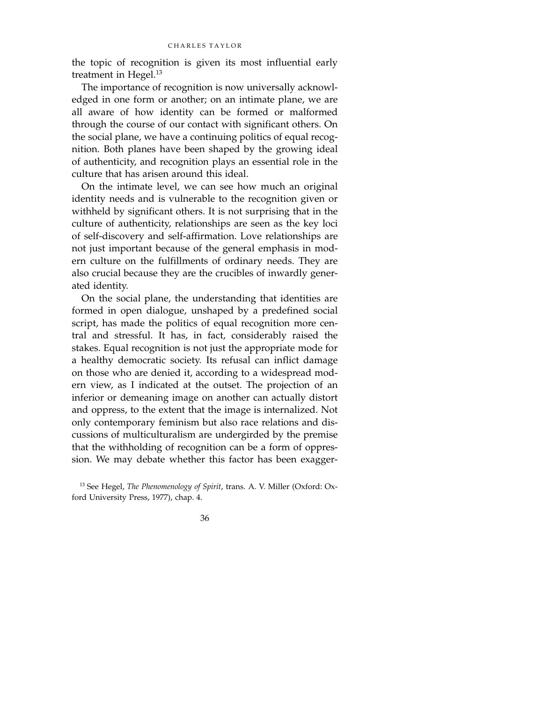the topic of recognition is given its most influential early treatment in Hegel.<sup>13</sup>

The importance of recognition is now universally acknowledged in one form or another; on an intimate plane, we are all aware of how identity can be formed or malformed through the course of our contact with significant others. On the social plane, we have a continuing politics of equal recognition. Both planes have been shaped by the growing ideal of authenticity, and recognition plays an essential role in the culture that has arisen around this ideal.

On the intimate level, we can see how much an original identity needs and is vulnerable to the recognition given or withheld by significant others. It is not surprising that in the culture of authenticity, relationships are seen as the key loci of self-discovery and self-affirmation. Love relationships are not just important because of the general emphasis in modern culture on the fulfillments of ordinary needs. They are also crucial because they are the crucibles of inwardly generated identity.

On the social plane, the understanding that identities are formed in open dialogue, unshaped by a predefined social script, has made the politics of equal recognition more central and stressful. It has, in fact, considerably raised the stakes. Equal recognition is not just the appropriate mode for a healthy democratic society. Its refusal can inflict damage on those who are denied it, according to a widespread modern view, as I indicated at the outset. The projection of an inferior or demeaning image on another can actually distort and oppress, to the extent that the image is internalized. Not only contemporary feminism but also race relations and discussions of multiculturalism are undergirded by the premise that the withholding of recognition can be a form of oppression. We may debate whether this factor has been exagger-

<sup>13</sup> See Hegel, *The Phenomenology of Spirit*, trans. A. V. Miller (Oxford: Oxford University Press, 1977), chap. 4.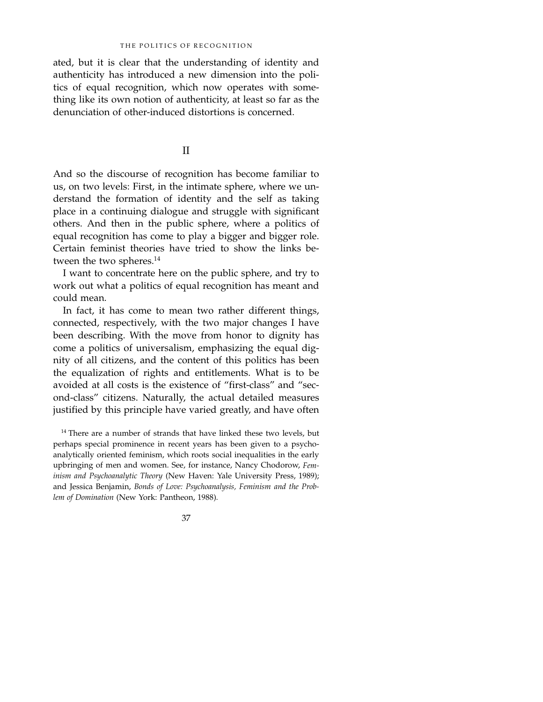# THE POLITICS OF RECOGNITION

ated, but it is clear that the understanding of identity and authenticity has introduced a new dimension into the politics of equal recognition, which now operates with something like its own notion of authenticity, at least so far as the denunciation of other-induced distortions is concerned.

II

And so the discourse of recognition has become familiar to us, on two levels: First, in the intimate sphere, where we understand the formation of identity and the self as taking place in a continuing dialogue and struggle with significant others. And then in the public sphere, where a politics of equal recognition has come to play a bigger and bigger role. Certain feminist theories have tried to show the links between the two spheres.<sup>14</sup>

I want to concentrate here on the public sphere, and try to work out what a politics of equal recognition has meant and could mean.

In fact, it has come to mean two rather different things, connected, respectively, with the two major changes I have been describing. With the move from honor to dignity has come a politics of universalism, emphasizing the equal dignity of all citizens, and the content of this politics has been the equalization of rights and entitlements. What is to be avoided at all costs is the existence of "first-class" and "second-class" citizens. Naturally, the actual detailed measures justified by this principle have varied greatly, and have often

<sup>14</sup> There are a number of strands that have linked these two levels, but perhaps special prominence in recent years has been given to a psychoanalytically oriented feminism, which roots social inequalities in the early upbringing of men and women. See, for instance, Nancy Chodorow, *Feminism and Psychoanalytic Theory* (New Haven: Yale University Press, 1989); and Jessica Benjamin, *Bonds of Love: Psychoanalysis, Feminism and the Problem of Domination* (New York: Pantheon, 1988).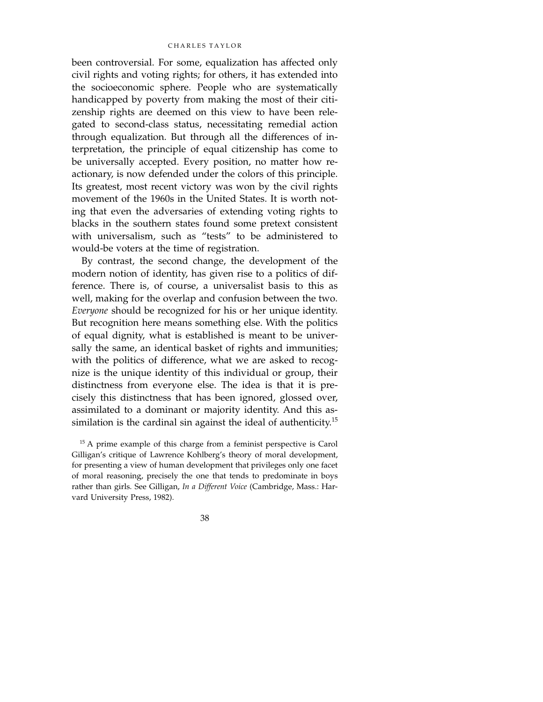been controversial. For some, equalization has affected only civil rights and voting rights; for others, it has extended into the socioeconomic sphere. People who are systematically handicapped by poverty from making the most of their citizenship rights are deemed on this view to have been relegated to second-class status, necessitating remedial action through equalization. But through all the differences of interpretation, the principle of equal citizenship has come to be universally accepted. Every position, no matter how reactionary, is now defended under the colors of this principle. Its greatest, most recent victory was won by the civil rights movement of the 1960s in the United States. It is worth noting that even the adversaries of extending voting rights to blacks in the southern states found some pretext consistent with universalism, such as "tests" to be administered to would-be voters at the time of registration.

By contrast, the second change, the development of the modern notion of identity, has given rise to a politics of difference. There is, of course, a universalist basis to this as well, making for the overlap and confusion between the two. *Everyone* should be recognized for his or her unique identity. But recognition here means something else. With the politics of equal dignity, what is established is meant to be universally the same, an identical basket of rights and immunities; with the politics of difference, what we are asked to recognize is the unique identity of this individual or group, their distinctness from everyone else. The idea is that it is precisely this distinctness that has been ignored, glossed over, assimilated to a dominant or majority identity. And this assimilation is the cardinal sin against the ideal of authenticity.<sup>15</sup>

 $15$  A prime example of this charge from a feminist perspective is Carol Gilligan's critique of Lawrence Kohlberg's theory of moral development, for presenting a view of human development that privileges only one facet of moral reasoning, precisely the one that tends to predominate in boys rather than girls. See Gilligan, *In a Different Voice* (Cambridge, Mass.: Harvard University Press, 1982).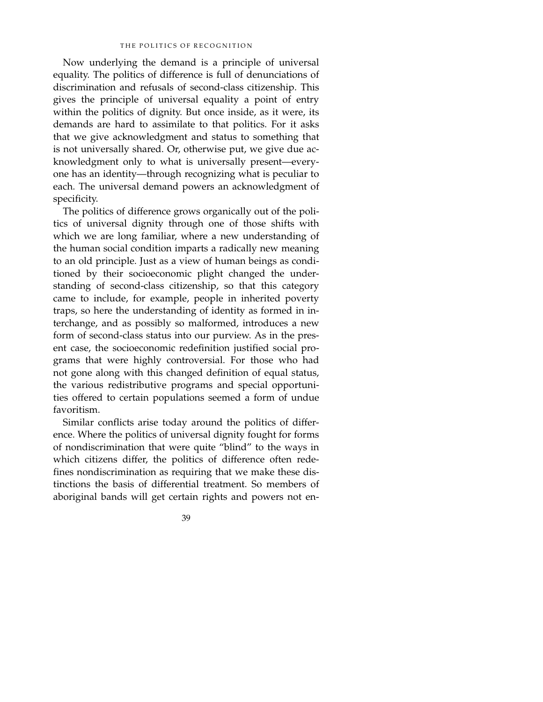# THE POLITICS OF RECOGNITION

Now underlying the demand is a principle of universal equality. The politics of difference is full of denunciations of discrimination and refusals of second-class citizenship. This gives the principle of universal equality a point of entry within the politics of dignity. But once inside, as it were, its demands are hard to assimilate to that politics. For it asks that we give acknowledgment and status to something that is not universally shared. Or, otherwise put, we give due acknowledgment only to what is universally present—everyone has an identity—through recognizing what is peculiar to each. The universal demand powers an acknowledgment of specificity.

The politics of difference grows organically out of the politics of universal dignity through one of those shifts with which we are long familiar, where a new understanding of the human social condition imparts a radically new meaning to an old principle. Just as a view of human beings as conditioned by their socioeconomic plight changed the understanding of second-class citizenship, so that this category came to include, for example, people in inherited poverty traps, so here the understanding of identity as formed in interchange, and as possibly so malformed, introduces a new form of second-class status into our purview. As in the present case, the socioeconomic redefinition justified social programs that were highly controversial. For those who had not gone along with this changed definition of equal status, the various redistributive programs and special opportunities offered to certain populations seemed a form of undue favoritism.

Similar conflicts arise today around the politics of difference. Where the politics of universal dignity fought for forms of nondiscrimination that were quite "blind" to the ways in which citizens differ, the politics of difference often redefines nondiscrimination as requiring that we make these distinctions the basis of differential treatment. So members of aboriginal bands will get certain rights and powers not en-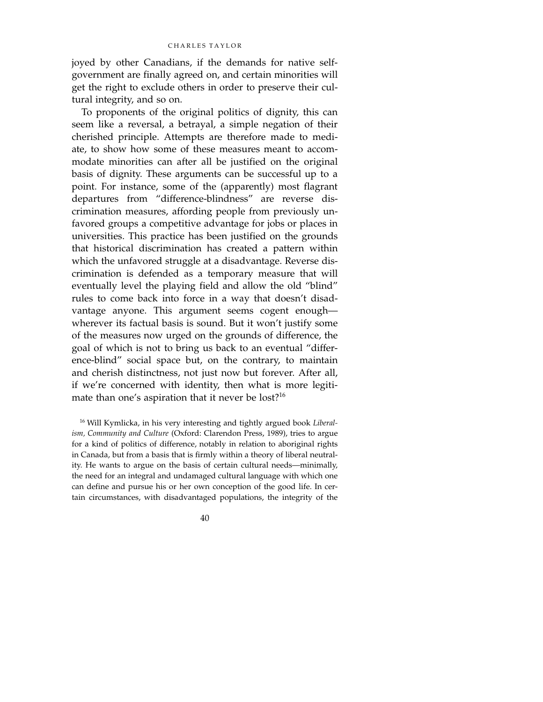joyed by other Canadians, if the demands for native selfgovernment are finally agreed on, and certain minorities will get the right to exclude others in order to preserve their cultural integrity, and so on.

To proponents of the original politics of dignity, this can seem like a reversal, a betrayal, a simple negation of their cherished principle. Attempts are therefore made to mediate, to show how some of these measures meant to accommodate minorities can after all be justified on the original basis of dignity. These arguments can be successful up to a point. For instance, some of the (apparently) most flagrant departures from "difference-blindness" are reverse discrimination measures, affording people from previously unfavored groups a competitive advantage for jobs or places in universities. This practice has been justified on the grounds that historical discrimination has created a pattern within which the unfavored struggle at a disadvantage. Reverse discrimination is defended as a temporary measure that will eventually level the playing field and allow the old "blind" rules to come back into force in a way that doesn't disadvantage anyone. This argument seems cogent enough wherever its factual basis is sound. But it won't justify some of the measures now urged on the grounds of difference, the goal of which is not to bring us back to an eventual "difference-blind" social space but, on the contrary, to maintain and cherish distinctness, not just now but forever. After all, if we're concerned with identity, then what is more legitimate than one's aspiration that it never be lost?<sup>16</sup>

<sup>16</sup> Will Kymlicka, in his very interesting and tightly argued book *Liberalism, Community and Culture* (Oxford: Clarendon Press, 1989), tries to argue for a kind of politics of difference, notably in relation to aboriginal rights in Canada, but from a basis that is firmly within a theory of liberal neutrality. He wants to argue on the basis of certain cultural needs—minimally, the need for an integral and undamaged cultural language with which one can define and pursue his or her own conception of the good life. In certain circumstances, with disadvantaged populations, the integrity of the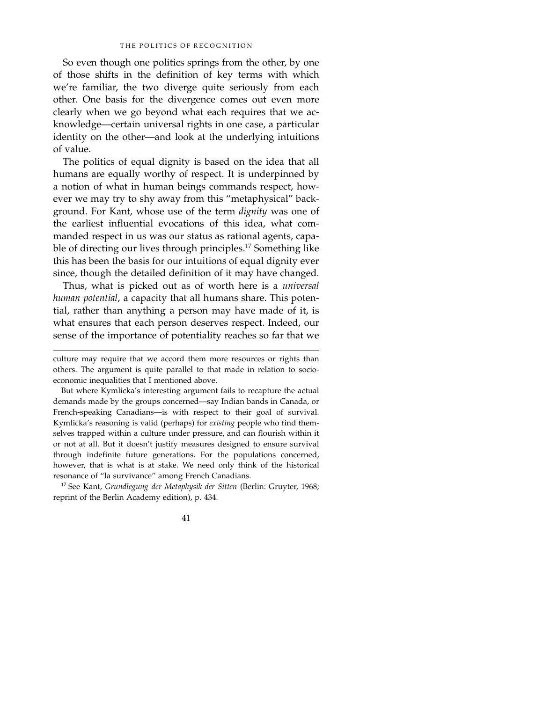# THE POLITICS OF RECOGNITION

So even though one politics springs from the other, by one of those shifts in the definition of key terms with which we're familiar, the two diverge quite seriously from each other. One basis for the divergence comes out even more clearly when we go beyond what each requires that we acknowledge—certain universal rights in one case, a particular identity on the other—and look at the underlying intuitions of value.

The politics of equal dignity is based on the idea that all humans are equally worthy of respect. It is underpinned by a notion of what in human beings commands respect, however we may try to shy away from this "metaphysical" background. For Kant, whose use of the term *dignity* was one of the earliest influential evocations of this idea, what commanded respect in us was our status as rational agents, capable of directing our lives through principles.17 Something like this has been the basis for our intuitions of equal dignity ever since, though the detailed definition of it may have changed.

Thus, what is picked out as of worth here is a *universal human potential*, a capacity that all humans share. This potential, rather than anything a person may have made of it, is what ensures that each person deserves respect. Indeed, our sense of the importance of potentiality reaches so far that we

<sup>17</sup> See Kant, *Grundlegung der Metaphysik der Sitten* (Berlin: Gruyter, 1968; reprint of the Berlin Academy edition), p. 434.

culture may require that we accord them more resources or rights than others. The argument is quite parallel to that made in relation to socioeconomic inequalities that I mentioned above.

But where Kymlicka's interesting argument fails to recapture the actual demands made by the groups concerned—say Indian bands in Canada, or French-speaking Canadians—is with respect to their goal of survival. Kymlicka's reasoning is valid (perhaps) for *existing* people who find themselves trapped within a culture under pressure, and can flourish within it or not at all. But it doesn't justify measures designed to ensure survival through indefinite future generations. For the populations concerned, however, that is what is at stake. We need only think of the historical resonance of "la survivance" among French Canadians.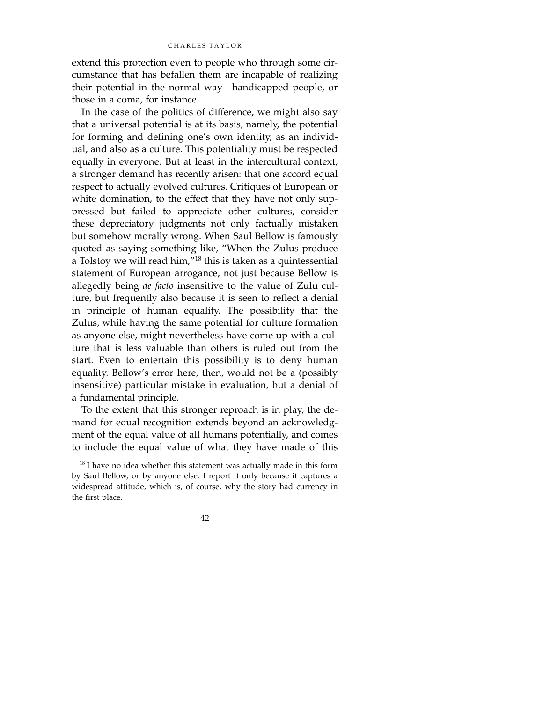extend this protection even to people who through some circumstance that has befallen them are incapable of realizing their potential in the normal way—handicapped people, or those in a coma, for instance.

In the case of the politics of difference, we might also say that a universal potential is at its basis, namely, the potential for forming and defining one's own identity, as an individual, and also as a culture. This potentiality must be respected equally in everyone. But at least in the intercultural context, a stronger demand has recently arisen: that one accord equal respect to actually evolved cultures. Critiques of European or white domination, to the effect that they have not only suppressed but failed to appreciate other cultures, consider these depreciatory judgments not only factually mistaken but somehow morally wrong. When Saul Bellow is famously quoted as saying something like, "When the Zulus produce a Tolstoy we will read him,"18 this is taken as a quintessential statement of European arrogance, not just because Bellow is allegedly being *de facto* insensitive to the value of Zulu culture, but frequently also because it is seen to reflect a denial in principle of human equality. The possibility that the Zulus, while having the same potential for culture formation as anyone else, might nevertheless have come up with a culture that is less valuable than others is ruled out from the start. Even to entertain this possibility is to deny human equality. Bellow's error here, then, would not be a (possibly insensitive) particular mistake in evaluation, but a denial of a fundamental principle.

To the extent that this stronger reproach is in play, the demand for equal recognition extends beyond an acknowledgment of the equal value of all humans potentially, and comes to include the equal value of what they have made of this

 $18$  I have no idea whether this statement was actually made in this form by Saul Bellow, or by anyone else. I report it only because it captures a widespread attitude, which is, of course, why the story had currency in the first place.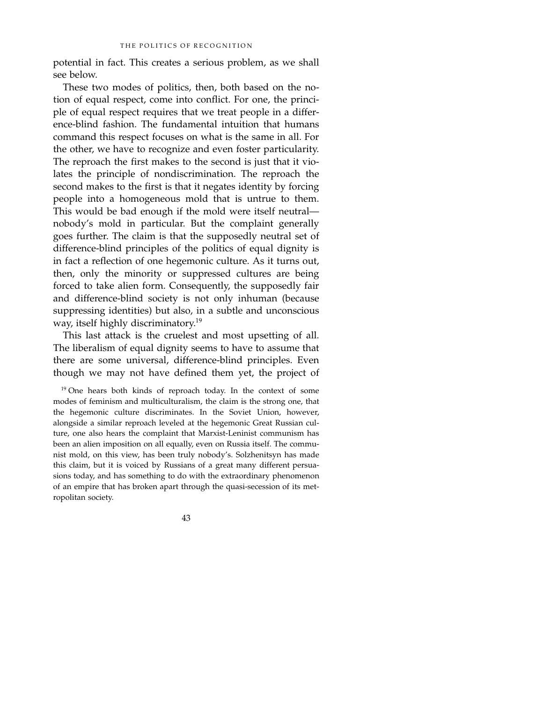potential in fact. This creates a serious problem, as we shall see below.

These two modes of politics, then, both based on the notion of equal respect, come into conflict. For one, the principle of equal respect requires that we treat people in a difference-blind fashion. The fundamental intuition that humans command this respect focuses on what is the same in all. For the other, we have to recognize and even foster particularity. The reproach the first makes to the second is just that it violates the principle of nondiscrimination. The reproach the second makes to the first is that it negates identity by forcing people into a homogeneous mold that is untrue to them. This would be bad enough if the mold were itself neutral nobody's mold in particular. But the complaint generally goes further. The claim is that the supposedly neutral set of difference-blind principles of the politics of equal dignity is in fact a reflection of one hegemonic culture. As it turns out, then, only the minority or suppressed cultures are being forced to take alien form. Consequently, the supposedly fair and difference-blind society is not only inhuman (because suppressing identities) but also, in a subtle and unconscious way, itself highly discriminatory.<sup>19</sup>

This last attack is the cruelest and most upsetting of all. The liberalism of equal dignity seems to have to assume that there are some universal, difference-blind principles. Even though we may not have defined them yet, the project of

<sup>19</sup> One hears both kinds of reproach today. In the context of some modes of feminism and multiculturalism, the claim is the strong one, that the hegemonic culture discriminates. In the Soviet Union, however, alongside a similar reproach leveled at the hegemonic Great Russian culture, one also hears the complaint that Marxist-Leninist communism has been an alien imposition on all equally, even on Russia itself. The communist mold, on this view, has been truly nobody's. Solzhenitsyn has made this claim, but it is voiced by Russians of a great many different persuasions today, and has something to do with the extraordinary phenomenon of an empire that has broken apart through the quasi-secession of its metropolitan society.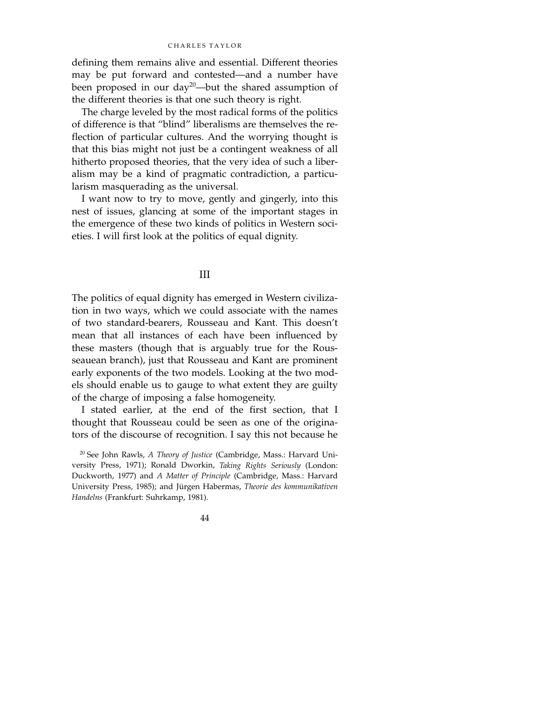defining them remains alive and essential. Different theories may be put forward and contested—and a number have been proposed in our day<sup>20</sup>—but the shared assumption of the different theories is that one such theory is right.

The charge leveled by the most radical forms of the politics of difference is that "blind" liberalisms are themselves the reflection of particular cultures. And the worrying thought is that this bias might not just be a contingent weakness of all hitherto proposed theories, that the very idea of such a liberalism may be a kind of pragmatic contradiction, a particularism masquerading as the universal.

I want now to try to move, gently and gingerly, into this nest of issues, glancing at some of the important stages in the emergence of these two kinds of politics in Western societies. I will first look at the politics of equal dignity.

# III

The politics of equal dignity has emerged in Western civilization in two ways, which we could associate with the names of two standard-bearers, Rousseau and Kant. This doesn't mean that all instances of each have been influenced by these masters (though that is arguably true for the Rousseauean branch), just that Rousseau and Kant are prominent early exponents of the two models. Looking at the two models should enable us to gauge to what extent they are guilty of the charge of imposing a false homogeneity.

I stated earlier, at the end of the first section, that I thought that Rousseau could be seen as one of the originators of the discourse of recognition. I say this not because he

<sup>20</sup> See John Rawls, *A Theory of Justice* (Cambridge, Mass.: Harvard University Press, 1971); Ronald Dworkin, *Taking Rights Seriously* (London: Duckworth, 1977) and *A Matter of Principle* (Cambridge, Mass.: Harvard University Press, 1985); and Jürgen Habermas, *Theorie des kommunikativen Handelns* (Frankfurt: Suhrkamp, 1981).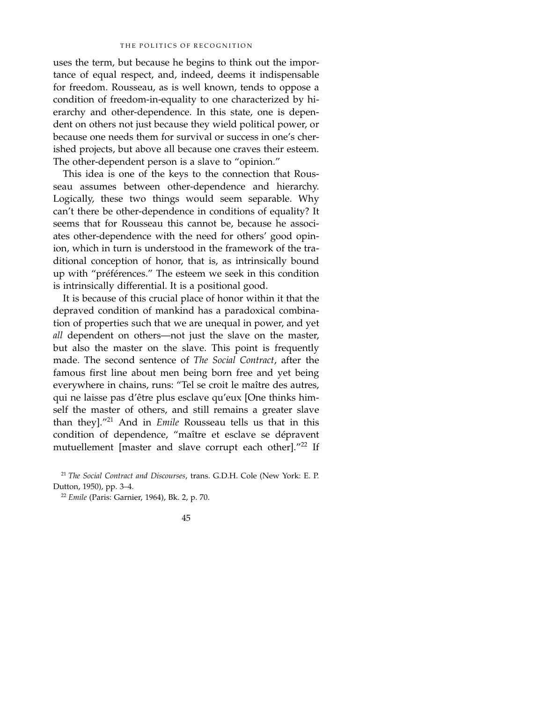uses the term, but because he begins to think out the importance of equal respect, and, indeed, deems it indispensable for freedom. Rousseau, as is well known, tends to oppose a condition of freedom-in-equality to one characterized by hierarchy and other-dependence. In this state, one is dependent on others not just because they wield political power, or because one needs them for survival or success in one's cherished projects, but above all because one craves their esteem. The other-dependent person is a slave to "opinion."

This idea is one of the keys to the connection that Rousseau assumes between other-dependence and hierarchy. Logically, these two things would seem separable. Why can't there be other-dependence in conditions of equality? It seems that for Rousseau this cannot be, because he associates other-dependence with the need for others' good opinion, which in turn is understood in the framework of the traditional conception of honor, that is, as intrinsically bound up with "préférences." The esteem we seek in this condition is intrinsically differential. It is a positional good.

It is because of this crucial place of honor within it that the depraved condition of mankind has a paradoxical combination of properties such that we are unequal in power, and yet *all* dependent on others—not just the slave on the master, but also the master on the slave. This point is frequently made. The second sentence of *The Social Contract*, after the famous first line about men being born free and yet being everywhere in chains, runs: "Tel se croit le maître des autres, qui ne laisse pas d'être plus esclave qu'eux [One thinks himself the master of others, and still remains a greater slave than they]."21 And in *Emile* Rousseau tells us that in this condition of dependence, "maître et esclave se dépravent mutuellement [master and slave corrupt each other]."<sup>22</sup> If

<sup>21</sup> *The Social Contract and Discourses*, trans. G.D.H. Cole (New York: E. P. Dutton, 1950), pp. 3–4.

<sup>22</sup> *Emile* (Paris: Garnier, 1964), Bk. 2, p. 70.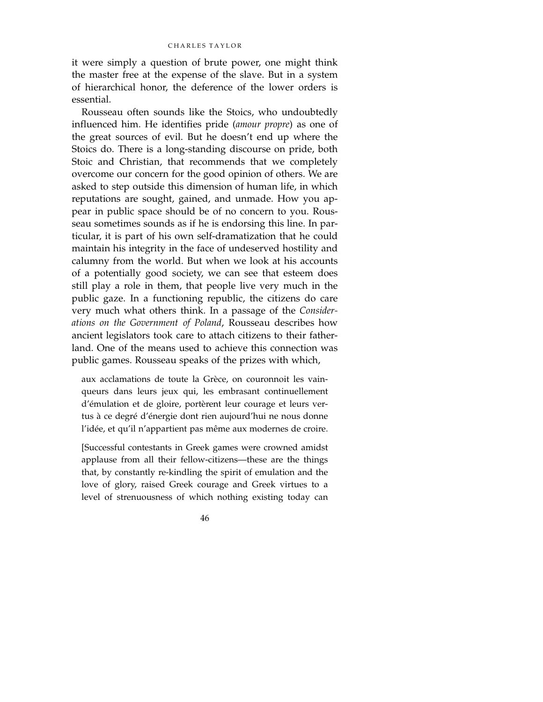it were simply a question of brute power, one might think the master free at the expense of the slave. But in a system of hierarchical honor, the deference of the lower orders is essential.

Rousseau often sounds like the Stoics, who undoubtedly influenced him. He identifies pride (*amour propre*) as one of the great sources of evil. But he doesn't end up where the Stoics do. There is a long-standing discourse on pride, both Stoic and Christian, that recommends that we completely overcome our concern for the good opinion of others. We are asked to step outside this dimension of human life, in which reputations are sought, gained, and unmade. How you appear in public space should be of no concern to you. Rousseau sometimes sounds as if he is endorsing this line. In particular, it is part of his own self-dramatization that he could maintain his integrity in the face of undeserved hostility and calumny from the world. But when we look at his accounts of a potentially good society, we can see that esteem does still play a role in them, that people live very much in the public gaze. In a functioning republic, the citizens do care very much what others think. In a passage of the *Considerations on the Government of Poland*, Rousseau describes how ancient legislators took care to attach citizens to their fatherland. One of the means used to achieve this connection was public games. Rousseau speaks of the prizes with which,

aux acclamations de toute la Grèce, on couronnoit les vainqueurs dans leurs jeux qui, les embrasant continuellement d'émulation et de gloire, portèrent leur courage et leurs vertus à ce degré d'énergie dont rien aujourd'hui ne nous donne l'idée, et qu'il n'appartient pas même aux modernes de croire.

[Successful contestants in Greek games were crowned amidst applause from all their fellow-citizens—these are the things that, by constantly re-kindling the spirit of emulation and the love of glory, raised Greek courage and Greek virtues to a level of strenuousness of which nothing existing today can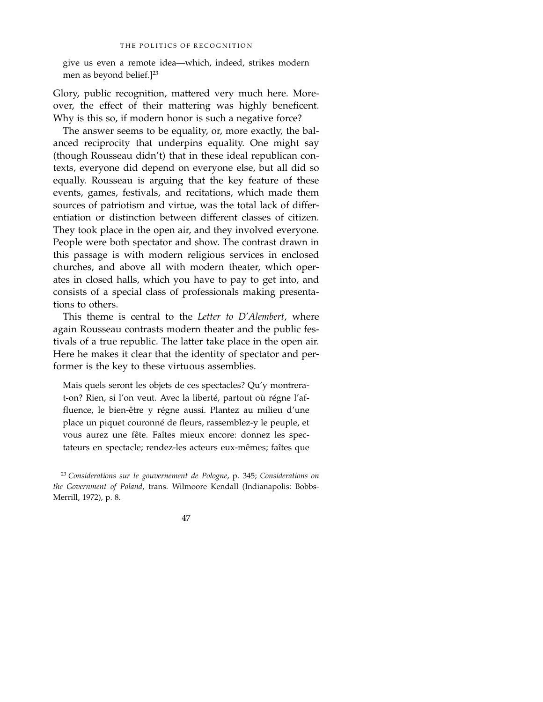give us even a remote idea—which, indeed, strikes modern men as beyond belief.]<sup>23</sup>

Glory, public recognition, mattered very much here. Moreover, the effect of their mattering was highly beneficent. Why is this so, if modern honor is such a negative force?

The answer seems to be equality, or, more exactly, the balanced reciprocity that underpins equality. One might say (though Rousseau didn't) that in these ideal republican contexts, everyone did depend on everyone else, but all did so equally. Rousseau is arguing that the key feature of these events, games, festivals, and recitations, which made them sources of patriotism and virtue, was the total lack of differentiation or distinction between different classes of citizen. They took place in the open air, and they involved everyone. People were both spectator and show. The contrast drawn in this passage is with modern religious services in enclosed churches, and above all with modern theater, which operates in closed halls, which you have to pay to get into, and consists of a special class of professionals making presentations to others.

This theme is central to the *Letter to D'Alembert*, where again Rousseau contrasts modern theater and the public festivals of a true republic. The latter take place in the open air. Here he makes it clear that the identity of spectator and performer is the key to these virtuous assemblies.

Mais quels seront les objets de ces spectacles? Qu'y montrerat-on? Rien, si l'on veut. Avec la liberté, partout où régne l'affluence, le bien-être y régne aussi. Plantez au milieu d'une place un piquet couronné de fleurs, rassemblez-y le peuple, et vous aurez une fête. Faîtes mieux encore: donnez les spectateurs en spectacle; rendez-les acteurs eux-mêmes; faîtes que

<sup>23</sup> *Considerations sur le gouvernement de Pologne*, p. 345; *Considerations on the Government of Poland*, trans. Wilmoore Kendall (Indianapolis: Bobbs-Merrill, 1972), p. 8.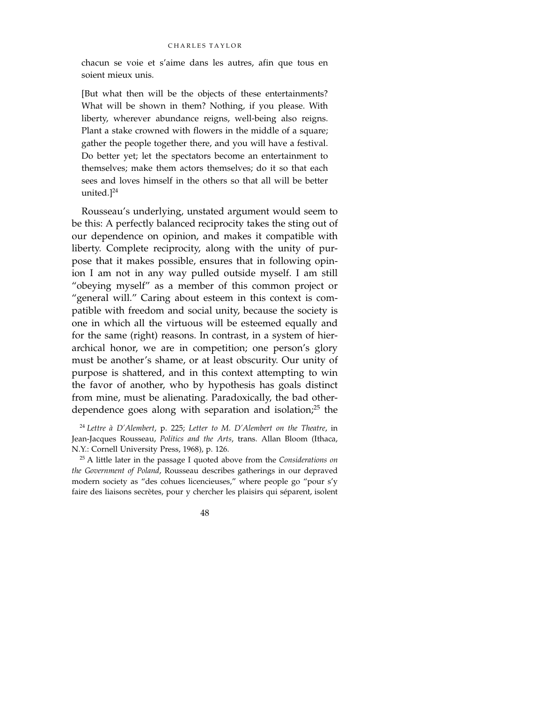chacun se voie et s'aime dans les autres, afin que tous en soient mieux unis.

[But what then will be the objects of these entertainments? What will be shown in them? Nothing, if you please. With liberty, wherever abundance reigns, well-being also reigns. Plant a stake crowned with flowers in the middle of a square; gather the people together there, and you will have a festival. Do better yet; let the spectators become an entertainment to themselves; make them actors themselves; do it so that each sees and loves himself in the others so that all will be better united.<sup>[24</sup>

Rousseau's underlying, unstated argument would seem to be this: A perfectly balanced reciprocity takes the sting out of our dependence on opinion, and makes it compatible with liberty. Complete reciprocity, along with the unity of purpose that it makes possible, ensures that in following opinion I am not in any way pulled outside myself. I am still "obeying myself" as a member of this common project or "general will." Caring about esteem in this context is compatible with freedom and social unity, because the society is one in which all the virtuous will be esteemed equally and for the same (right) reasons. In contrast, in a system of hierarchical honor, we are in competition; one person's glory must be another's shame, or at least obscurity. Our unity of purpose is shattered, and in this context attempting to win the favor of another, who by hypothesis has goals distinct from mine, must be alienating. Paradoxically, the bad otherdependence goes along with separation and isolation;<sup>25</sup> the

<sup>24</sup> *Lettre à D'Alembert*, p. 225; *Letter to M. D'Alembert on the Theatre*, in Jean-Jacques Rousseau, *Politics and the Arts*, trans. Allan Bloom (Ithaca, N.Y.: Cornell University Press, 1968), p. 126.

<sup>25</sup> A little later in the passage I quoted above from the *Considerations on the Government of Poland*, Rousseau describes gatherings in our depraved modern society as "des cohues licencieuses," where people go "pour s'y faire des liaisons secrètes, pour y chercher les plaisirs qui séparent, isolent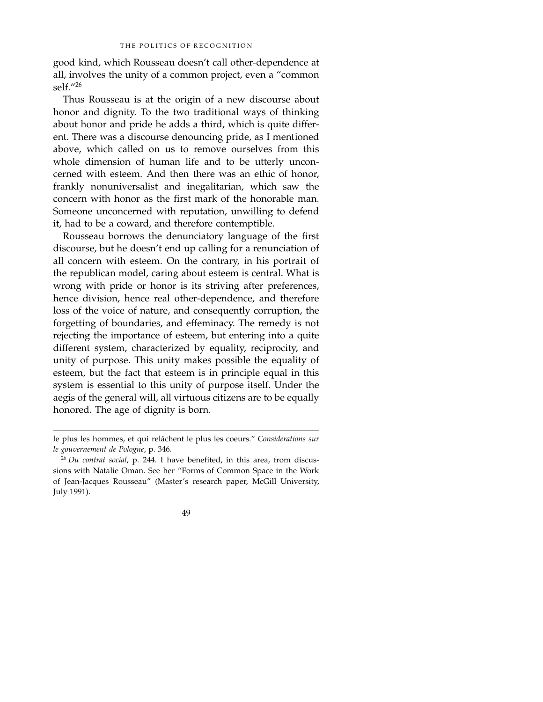good kind, which Rousseau doesn't call other-dependence at all, involves the unity of a common project, even a "common self."26

Thus Rousseau is at the origin of a new discourse about honor and dignity. To the two traditional ways of thinking about honor and pride he adds a third, which is quite different. There was a discourse denouncing pride, as I mentioned above, which called on us to remove ourselves from this whole dimension of human life and to be utterly unconcerned with esteem. And then there was an ethic of honor, frankly nonuniversalist and inegalitarian, which saw the concern with honor as the first mark of the honorable man. Someone unconcerned with reputation, unwilling to defend it, had to be a coward, and therefore contemptible.

Rousseau borrows the denunciatory language of the first discourse, but he doesn't end up calling for a renunciation of all concern with esteem. On the contrary, in his portrait of the republican model, caring about esteem is central. What is wrong with pride or honor is its striving after preferences, hence division, hence real other-dependence, and therefore loss of the voice of nature, and consequently corruption, the forgetting of boundaries, and effeminacy. The remedy is not rejecting the importance of esteem, but entering into a quite different system, characterized by equality, reciprocity, and unity of purpose. This unity makes possible the equality of esteem, but the fact that esteem is in principle equal in this system is essential to this unity of purpose itself. Under the aegis of the general will, all virtuous citizens are to be equally honored. The age of dignity is born.

le plus les hommes, et qui relâchent le plus les coeurs." *Considerations sur le gouvernement de Pologne*, p. 346.

<sup>26</sup> *Du contrat social*, p. 244. I have benefited, in this area, from discussions with Natalie Oman. See her "Forms of Common Space in the Work of Jean-Jacques Rousseau" (Master's research paper, McGill University, July 1991).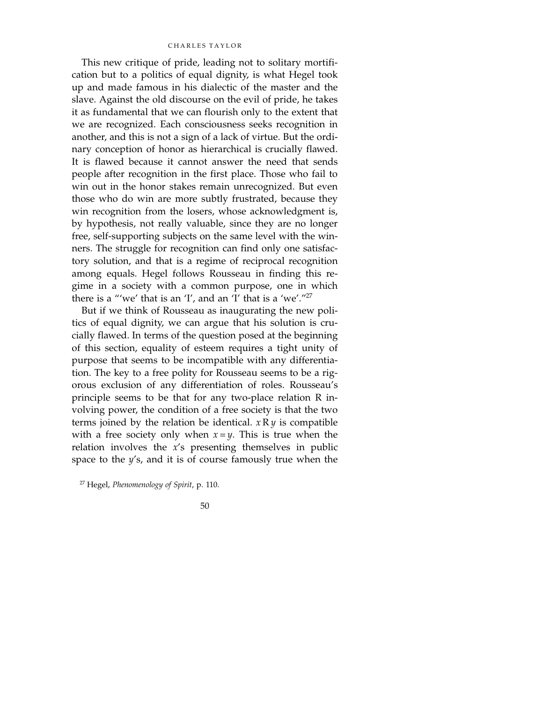This new critique of pride, leading not to solitary mortification but to a politics of equal dignity, is what Hegel took up and made famous in his dialectic of the master and the slave. Against the old discourse on the evil of pride, he takes it as fundamental that we can flourish only to the extent that we are recognized. Each consciousness seeks recognition in another, and this is not a sign of a lack of virtue. But the ordinary conception of honor as hierarchical is crucially flawed. It is flawed because it cannot answer the need that sends people after recognition in the first place. Those who fail to win out in the honor stakes remain unrecognized. But even those who do win are more subtly frustrated, because they win recognition from the losers, whose acknowledgment is, by hypothesis, not really valuable, since they are no longer free, self-supporting subjects on the same level with the winners. The struggle for recognition can find only one satisfactory solution, and that is a regime of reciprocal recognition among equals. Hegel follows Rousseau in finding this regime in a society with a common purpose, one in which there is a "'we' that is an 'I', and an 'I' that is a 'we'." $27$ 

But if we think of Rousseau as inaugurating the new politics of equal dignity, we can argue that his solution is crucially flawed. In terms of the question posed at the beginning of this section, equality of esteem requires a tight unity of purpose that seems to be incompatible with any differentiation. The key to a free polity for Rousseau seems to be a rigorous exclusion of any differentiation of roles. Rousseau's principle seems to be that for any two-place relation R involving power, the condition of a free society is that the two terms joined by the relation be identical.  $x R y$  is compatible with a free society only when  $x = y$ . This is true when the relation involves the *x*'s presenting themselves in public space to the *y*'s, and it is of course famously true when the

<sup>27</sup> Hegel, *Phenomenology of Spirit*, p. 110.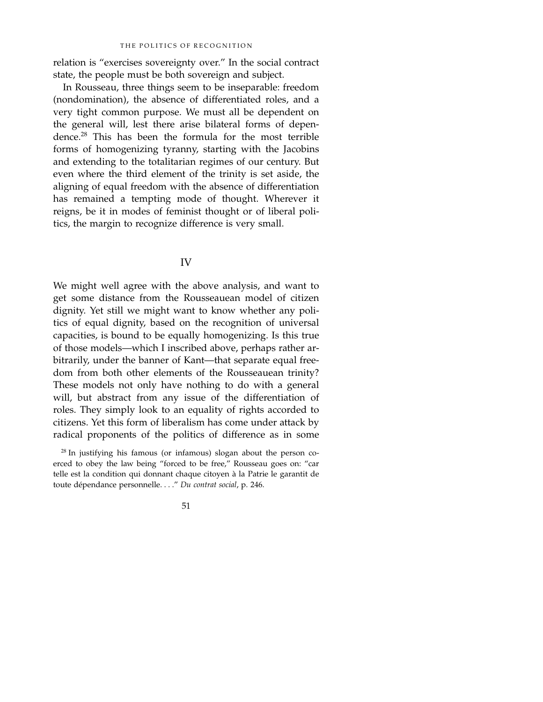relation is "exercises sovereignty over." In the social contract state, the people must be both sovereign and subject.

In Rousseau, three things seem to be inseparable: freedom (nondomination), the absence of differentiated roles, and a very tight common purpose. We must all be dependent on the general will, lest there arise bilateral forms of dependence.28 This has been the formula for the most terrible forms of homogenizing tyranny, starting with the Jacobins and extending to the totalitarian regimes of our century. But even where the third element of the trinity is set aside, the aligning of equal freedom with the absence of differentiation has remained a tempting mode of thought. Wherever it reigns, be it in modes of feminist thought or of liberal politics, the margin to recognize difference is very small.

IV

We might well agree with the above analysis, and want to get some distance from the Rousseauean model of citizen dignity. Yet still we might want to know whether any politics of equal dignity, based on the recognition of universal capacities, is bound to be equally homogenizing. Is this true of those models—which I inscribed above, perhaps rather arbitrarily, under the banner of Kant—that separate equal freedom from both other elements of the Rousseauean trinity? These models not only have nothing to do with a general will, but abstract from any issue of the differentiation of roles. They simply look to an equality of rights accorded to citizens. Yet this form of liberalism has come under attack by radical proponents of the politics of difference as in some

<sup>&</sup>lt;sup>28</sup> In justifying his famous (or infamous) slogan about the person coerced to obey the law being "forced to be free," Rousseau goes on: "car telle est la condition qui donnant chaque citoyen à la Patrie le garantit de toute dépendance personnelle. . . ." *Du contrat social*, p. 246.

<sup>51</sup>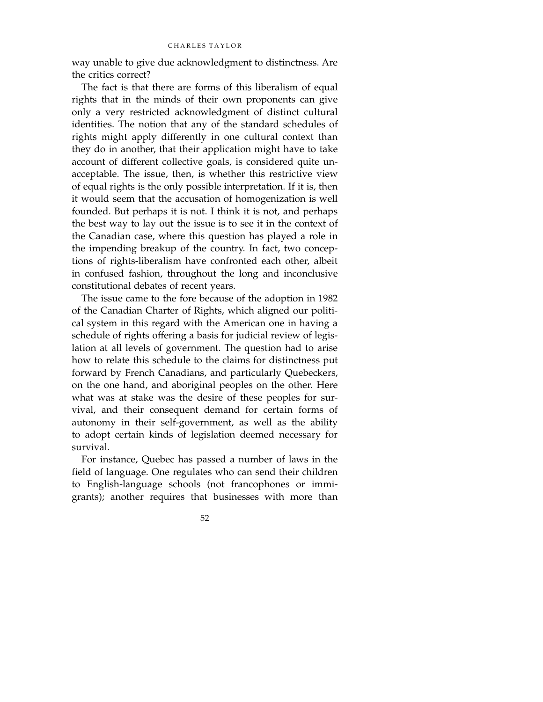way unable to give due acknowledgment to distinctness. Are the critics correct?

The fact is that there are forms of this liberalism of equal rights that in the minds of their own proponents can give only a very restricted acknowledgment of distinct cultural identities. The notion that any of the standard schedules of rights might apply differently in one cultural context than they do in another, that their application might have to take account of different collective goals, is considered quite unacceptable. The issue, then, is whether this restrictive view of equal rights is the only possible interpretation. If it is, then it would seem that the accusation of homogenization is well founded. But perhaps it is not. I think it is not, and perhaps the best way to lay out the issue is to see it in the context of the Canadian case, where this question has played a role in the impending breakup of the country. In fact, two conceptions of rights-liberalism have confronted each other, albeit in confused fashion, throughout the long and inconclusive constitutional debates of recent years.

The issue came to the fore because of the adoption in 1982 of the Canadian Charter of Rights, which aligned our political system in this regard with the American one in having a schedule of rights offering a basis for judicial review of legislation at all levels of government. The question had to arise how to relate this schedule to the claims for distinctness put forward by French Canadians, and particularly Quebeckers, on the one hand, and aboriginal peoples on the other. Here what was at stake was the desire of these peoples for survival, and their consequent demand for certain forms of autonomy in their self-government, as well as the ability to adopt certain kinds of legislation deemed necessary for survival.

For instance, Quebec has passed a number of laws in the field of language. One regulates who can send their children to English-language schools (not francophones or immigrants); another requires that businesses with more than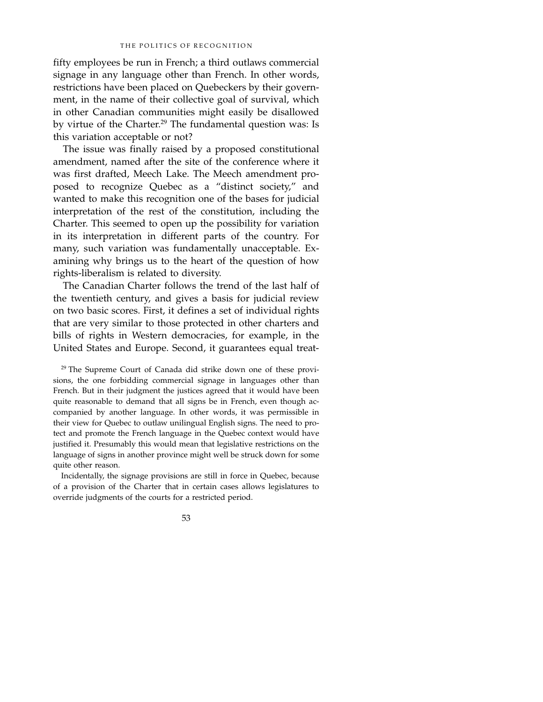fifty employees be run in French; a third outlaws commercial signage in any language other than French. In other words, restrictions have been placed on Quebeckers by their government, in the name of their collective goal of survival, which in other Canadian communities might easily be disallowed by virtue of the Charter.<sup>29</sup> The fundamental question was: Is this variation acceptable or not?

The issue was finally raised by a proposed constitutional amendment, named after the site of the conference where it was first drafted, Meech Lake. The Meech amendment proposed to recognize Quebec as a "distinct society," and wanted to make this recognition one of the bases for judicial interpretation of the rest of the constitution, including the Charter. This seemed to open up the possibility for variation in its interpretation in different parts of the country. For many, such variation was fundamentally unacceptable. Examining why brings us to the heart of the question of how rights-liberalism is related to diversity.

The Canadian Charter follows the trend of the last half of the twentieth century, and gives a basis for judicial review on two basic scores. First, it defines a set of individual rights that are very similar to those protected in other charters and bills of rights in Western democracies, for example, in the United States and Europe. Second, it guarantees equal treat-

<sup>29</sup> The Supreme Court of Canada did strike down one of these provisions, the one forbidding commercial signage in languages other than French. But in their judgment the justices agreed that it would have been quite reasonable to demand that all signs be in French, even though accompanied by another language. In other words, it was permissible in their view for Quebec to outlaw unilingual English signs. The need to protect and promote the French language in the Quebec context would have justified it. Presumably this would mean that legislative restrictions on the language of signs in another province might well be struck down for some quite other reason.

Incidentally, the signage provisions are still in force in Quebec, because of a provision of the Charter that in certain cases allows legislatures to override judgments of the courts for a restricted period.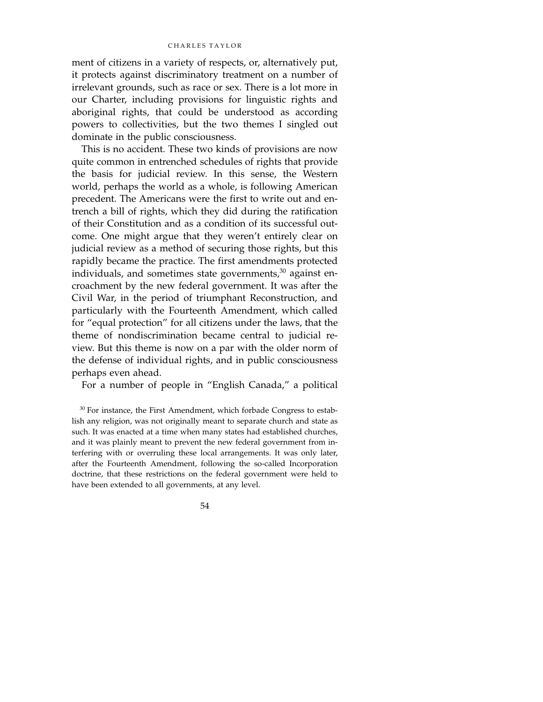ment of citizens in a variety of respects, or, alternatively put, it protects against discriminatory treatment on a number of irrelevant grounds, such as race or sex. There is a lot more in our Charter, including provisions for linguistic rights and aboriginal rights, that could be understood as according powers to collectivities, but the two themes I singled out dominate in the public consciousness.

This is no accident. These two kinds of provisions are now quite common in entrenched schedules of rights that provide the basis for judicial review. In this sense, the Western world, perhaps the world as a whole, is following American precedent. The Americans were the first to write out and entrench a bill of rights, which they did during the ratification of their Constitution and as a condition of its successful outcome. One might argue that they weren't entirely clear on judicial review as a method of securing those rights, but this rapidly became the practice. The first amendments protected individuals, and sometimes state governments,<sup>30</sup> against encroachment by the new federal government. It was after the Civil War, in the period of triumphant Reconstruction, and particularly with the Fourteenth Amendment, which called for "equal protection" for all citizens under the laws, that the theme of nondiscrimination became central to judicial review. But this theme is now on a par with the older norm of the defense of individual rights, and in public consciousness perhaps even ahead.

For a number of people in "English Canada," a political

<sup>30</sup> For instance, the First Amendment, which forbade Congress to establish any religion, was not originally meant to separate church and state as such. It was enacted at a time when many states had established churches, and it was plainly meant to prevent the new federal government from interfering with or overruling these local arrangements. It was only later, after the Fourteenth Amendment, following the so-called Incorporation doctrine, that these restrictions on the federal government were held to have been extended to all governments, at any level.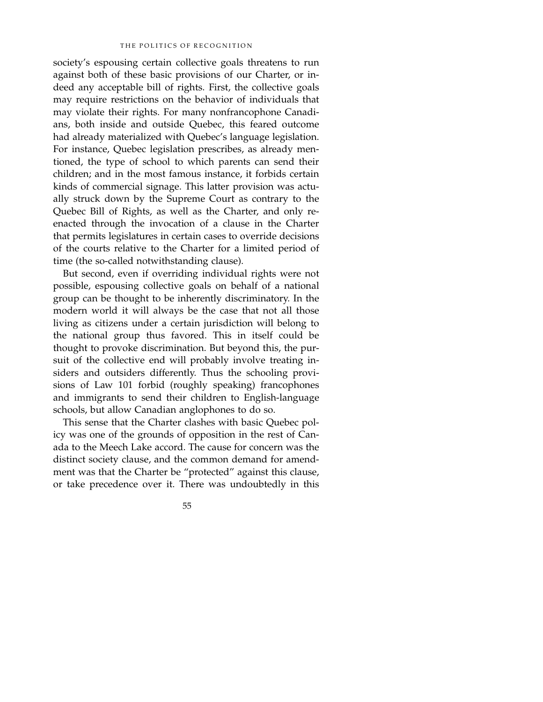society's espousing certain collective goals threatens to run against both of these basic provisions of our Charter, or indeed any acceptable bill of rights. First, the collective goals may require restrictions on the behavior of individuals that may violate their rights. For many nonfrancophone Canadians, both inside and outside Quebec, this feared outcome had already materialized with Quebec's language legislation. For instance, Quebec legislation prescribes, as already mentioned, the type of school to which parents can send their children; and in the most famous instance, it forbids certain kinds of commercial signage. This latter provision was actually struck down by the Supreme Court as contrary to the Quebec Bill of Rights, as well as the Charter, and only reenacted through the invocation of a clause in the Charter that permits legislatures in certain cases to override decisions of the courts relative to the Charter for a limited period of time (the so-called notwithstanding clause).

But second, even if overriding individual rights were not possible, espousing collective goals on behalf of a national group can be thought to be inherently discriminatory. In the modern world it will always be the case that not all those living as citizens under a certain jurisdiction will belong to the national group thus favored. This in itself could be thought to provoke discrimination. But beyond this, the pursuit of the collective end will probably involve treating insiders and outsiders differently. Thus the schooling provisions of Law 101 forbid (roughly speaking) francophones and immigrants to send their children to English-language schools, but allow Canadian anglophones to do so.

This sense that the Charter clashes with basic Quebec policy was one of the grounds of opposition in the rest of Canada to the Meech Lake accord. The cause for concern was the distinct society clause, and the common demand for amendment was that the Charter be "protected" against this clause, or take precedence over it. There was undoubtedly in this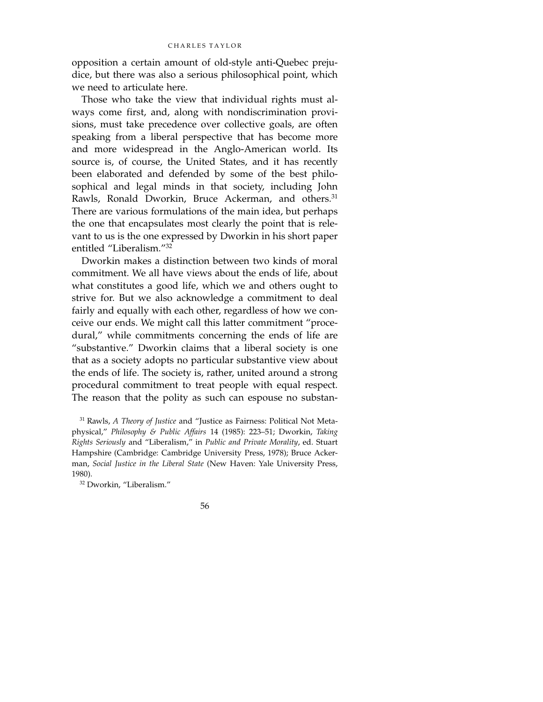opposition a certain amount of old-style anti-Quebec prejudice, but there was also a serious philosophical point, which we need to articulate here.

Those who take the view that individual rights must always come first, and, along with nondiscrimination provisions, must take precedence over collective goals, are often speaking from a liberal perspective that has become more and more widespread in the Anglo-American world. Its source is, of course, the United States, and it has recently been elaborated and defended by some of the best philosophical and legal minds in that society, including John Rawls, Ronald Dworkin, Bruce Ackerman, and others.<sup>31</sup> There are various formulations of the main idea, but perhaps the one that encapsulates most clearly the point that is relevant to us is the one expressed by Dworkin in his short paper entitled "Liberalism."<sup>32</sup>

Dworkin makes a distinction between two kinds of moral commitment. We all have views about the ends of life, about what constitutes a good life, which we and others ought to strive for. But we also acknowledge a commitment to deal fairly and equally with each other, regardless of how we conceive our ends. We might call this latter commitment "procedural," while commitments concerning the ends of life are "substantive." Dworkin claims that a liberal society is one that as a society adopts no particular substantive view about the ends of life. The society is, rather, united around a strong procedural commitment to treat people with equal respect. The reason that the polity as such can espouse no substan-

<sup>31</sup> Rawls, *A Theory of Justice* and "Justice as Fairness: Political Not Metaphysical," *Philosophy & Public Affairs* 14 (1985): 223–51; Dworkin, *Taking Rights Seriously* and "Liberalism," in *Public and Private Morality*, ed. Stuart Hampshire (Cambridge: Cambridge University Press, 1978); Bruce Ackerman, *Social Justice in the Liberal State* (New Haven: Yale University Press, 1980).

<sup>32</sup> Dworkin, "Liberalism."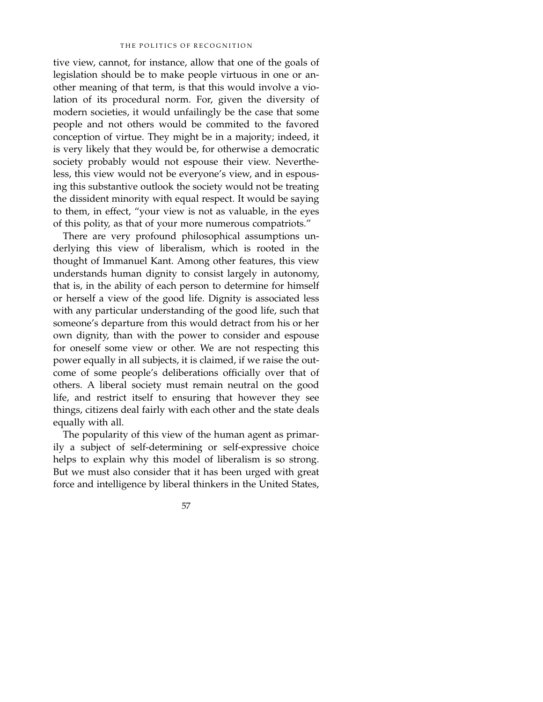tive view, cannot, for instance, allow that one of the goals of legislation should be to make people virtuous in one or another meaning of that term, is that this would involve a violation of its procedural norm. For, given the diversity of modern societies, it would unfailingly be the case that some people and not others would be commited to the favored conception of virtue. They might be in a majority; indeed, it is very likely that they would be, for otherwise a democratic society probably would not espouse their view. Nevertheless, this view would not be everyone's view, and in espousing this substantive outlook the society would not be treating the dissident minority with equal respect. It would be saying to them, in effect, "your view is not as valuable, in the eyes of this polity, as that of your more numerous compatriots."

There are very profound philosophical assumptions underlying this view of liberalism, which is rooted in the thought of Immanuel Kant. Among other features, this view understands human dignity to consist largely in autonomy, that is, in the ability of each person to determine for himself or herself a view of the good life. Dignity is associated less with any particular understanding of the good life, such that someone's departure from this would detract from his or her own dignity, than with the power to consider and espouse for oneself some view or other. We are not respecting this power equally in all subjects, it is claimed, if we raise the outcome of some people's deliberations officially over that of others. A liberal society must remain neutral on the good life, and restrict itself to ensuring that however they see things, citizens deal fairly with each other and the state deals equally with all.

The popularity of this view of the human agent as primarily a subject of self-determining or self-expressive choice helps to explain why this model of liberalism is so strong. But we must also consider that it has been urged with great force and intelligence by liberal thinkers in the United States,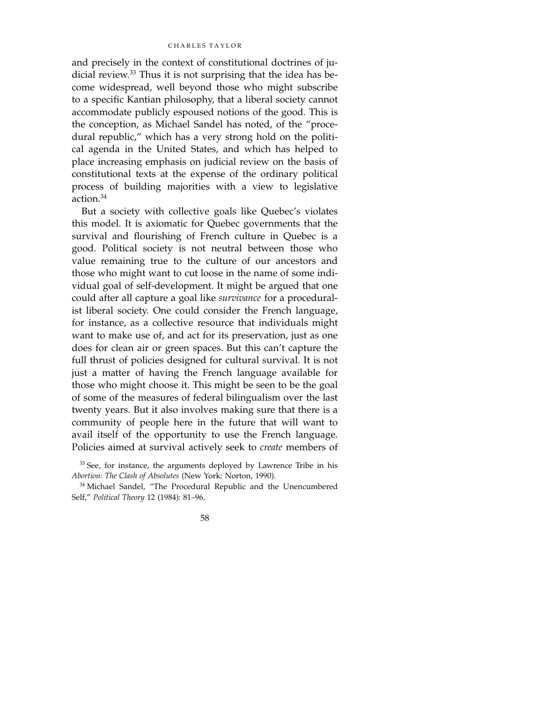and precisely in the context of constitutional doctrines of judicial review.<sup>33</sup> Thus it is not surprising that the idea has become widespread, well beyond those who might subscribe to a specific Kantian philosophy, that a liberal society cannot accommodate publicly espoused notions of the good. This is the conception, as Michael Sandel has noted, of the "procedural republic," which has a very strong hold on the political agenda in the United States, and which has helped to place increasing emphasis on judicial review on the basis of constitutional texts at the expense of the ordinary political process of building majorities with a view to legislative action.34

But a society with collective goals like Quebec's violates this model. It is axiomatic for Quebec governments that the survival and flourishing of French culture in Quebec is a good. Political society is not neutral between those who value remaining true to the culture of our ancestors and those who might want to cut loose in the name of some individual goal of self-development. It might be argued that one could after all capture a goal like *survivance* for a proceduralist liberal society. One could consider the French language, for instance, as a collective resource that individuals might want to make use of, and act for its preservation, just as one does for clean air or green spaces. But this can't capture the full thrust of policies designed for cultural survival. It is not just a matter of having the French language available for those who might choose it. This might be seen to be the goal of some of the measures of federal bilingualism over the last twenty years. But it also involves making sure that there is a community of people here in the future that will want to avail itself of the opportunity to use the French language. Policies aimed at survival actively seek to *create* members of

 $33$  See, for instance, the arguments deployed by Lawrence Tribe in his *Abortion: The Clash of Absolutes* (New York: Norton, 1990).

<sup>&</sup>lt;sup>34</sup> Michael Sandel, "The Procedural Republic and the Unencumbered Self," *Political Theory* 12 (1984): 81–96.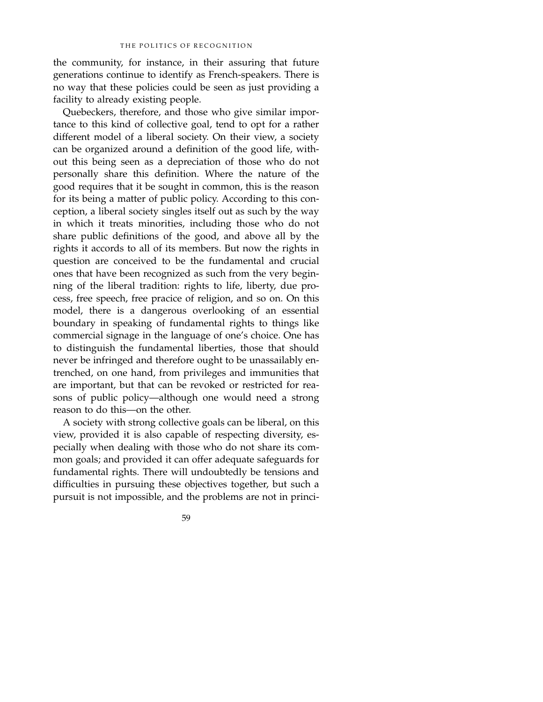the community, for instance, in their assuring that future generations continue to identify as French-speakers. There is no way that these policies could be seen as just providing a facility to already existing people.

Quebeckers, therefore, and those who give similar importance to this kind of collective goal, tend to opt for a rather different model of a liberal society. On their view, a society can be organized around a definition of the good life, without this being seen as a depreciation of those who do not personally share this definition. Where the nature of the good requires that it be sought in common, this is the reason for its being a matter of public policy. According to this conception, a liberal society singles itself out as such by the way in which it treats minorities, including those who do not share public definitions of the good, and above all by the rights it accords to all of its members. But now the rights in question are conceived to be the fundamental and crucial ones that have been recognized as such from the very beginning of the liberal tradition: rights to life, liberty, due process, free speech, free pracice of religion, and so on. On this model, there is a dangerous overlooking of an essential boundary in speaking of fundamental rights to things like commercial signage in the language of one's choice. One has to distinguish the fundamental liberties, those that should never be infringed and therefore ought to be unassailably entrenched, on one hand, from privileges and immunities that are important, but that can be revoked or restricted for reasons of public policy—although one would need a strong reason to do this—on the other.

A society with strong collective goals can be liberal, on this view, provided it is also capable of respecting diversity, especially when dealing with those who do not share its common goals; and provided it can offer adequate safeguards for fundamental rights. There will undoubtedly be tensions and difficulties in pursuing these objectives together, but such a pursuit is not impossible, and the problems are not in princi-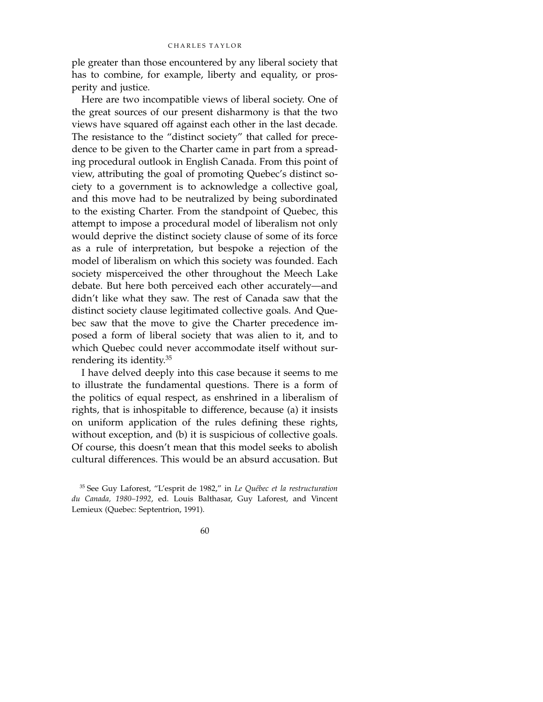ple greater than those encountered by any liberal society that has to combine, for example, liberty and equality, or prosperity and justice.

Here are two incompatible views of liberal society. One of the great sources of our present disharmony is that the two views have squared off against each other in the last decade. The resistance to the "distinct society" that called for precedence to be given to the Charter came in part from a spreading procedural outlook in English Canada. From this point of view, attributing the goal of promoting Quebec's distinct society to a government is to acknowledge a collective goal, and this move had to be neutralized by being subordinated to the existing Charter. From the standpoint of Quebec, this attempt to impose a procedural model of liberalism not only would deprive the distinct society clause of some of its force as a rule of interpretation, but bespoke a rejection of the model of liberalism on which this society was founded. Each society misperceived the other throughout the Meech Lake debate. But here both perceived each other accurately—and didn't like what they saw. The rest of Canada saw that the distinct society clause legitimated collective goals. And Quebec saw that the move to give the Charter precedence imposed a form of liberal society that was alien to it, and to which Quebec could never accommodate itself without surrendering its identity.<sup>35</sup>

I have delved deeply into this case because it seems to me to illustrate the fundamental questions. There is a form of the politics of equal respect, as enshrined in a liberalism of rights, that is inhospitable to difference, because (a) it insists on uniform application of the rules defining these rights, without exception, and (b) it is suspicious of collective goals. Of course, this doesn't mean that this model seeks to abolish cultural differences. This would be an absurd accusation. But

<sup>35</sup> See Guy Laforest, "L'esprit de 1982," in *Le Québec et la restructuration du Canada, 1980–1992*, ed. Louis Balthasar, Guy Laforest, and Vincent Lemieux (Quebec: Septentrion, 1991).

<sup>60</sup>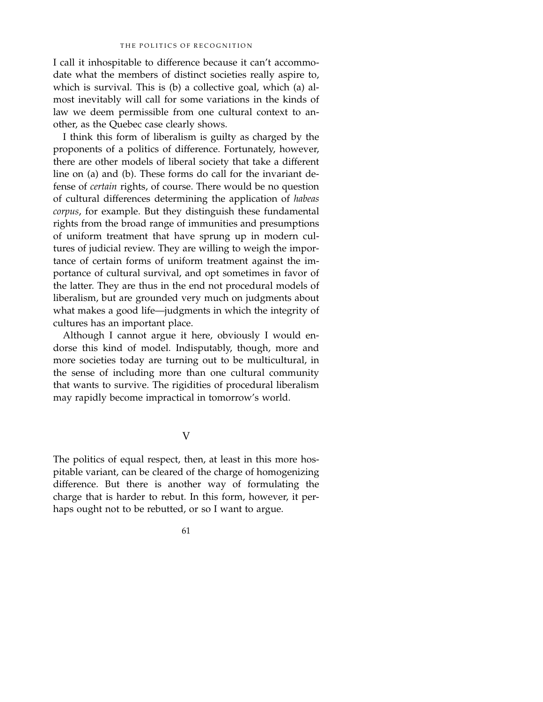I call it inhospitable to difference because it can't accommodate what the members of distinct societies really aspire to, which is survival. This is (b) a collective goal, which (a) almost inevitably will call for some variations in the kinds of law we deem permissible from one cultural context to another, as the Quebec case clearly shows.

I think this form of liberalism is guilty as charged by the proponents of a politics of difference. Fortunately, however, there are other models of liberal society that take a different line on (a) and (b). These forms do call for the invariant defense of *certain* rights, of course. There would be no question of cultural differences determining the application of *habeas corpus*, for example. But they distinguish these fundamental rights from the broad range of immunities and presumptions of uniform treatment that have sprung up in modern cultures of judicial review. They are willing to weigh the importance of certain forms of uniform treatment against the importance of cultural survival, and opt sometimes in favor of the latter. They are thus in the end not procedural models of liberalism, but are grounded very much on judgments about what makes a good life—judgments in which the integrity of cultures has an important place.

Although I cannot argue it here, obviously I would endorse this kind of model. Indisputably, though, more and more societies today are turning out to be multicultural, in the sense of including more than one cultural community that wants to survive. The rigidities of procedural liberalism may rapidly become impractical in tomorrow's world.

V

The politics of equal respect, then, at least in this more hospitable variant, can be cleared of the charge of homogenizing difference. But there is another way of formulating the charge that is harder to rebut. In this form, however, it perhaps ought not to be rebutted, or so I want to argue.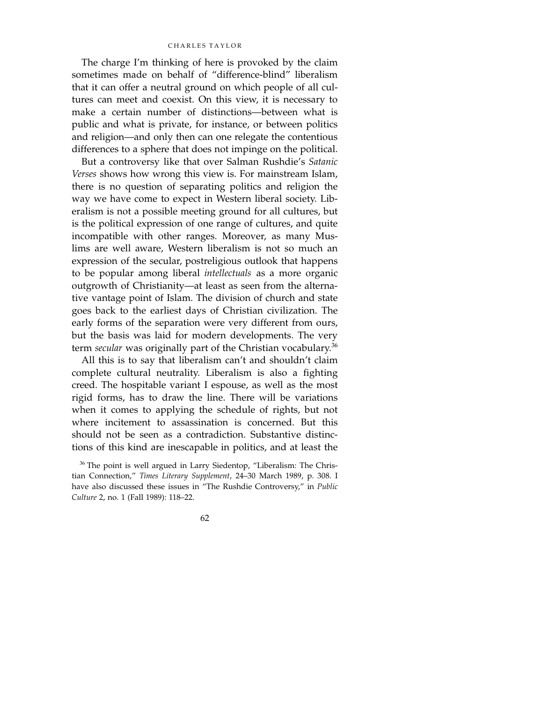The charge I'm thinking of here is provoked by the claim sometimes made on behalf of "difference-blind" liberalism that it can offer a neutral ground on which people of all cultures can meet and coexist. On this view, it is necessary to make a certain number of distinctions—between what is public and what is private, for instance, or between politics and religion—and only then can one relegate the contentious differences to a sphere that does not impinge on the political.

But a controversy like that over Salman Rushdie's *Satanic Verses* shows how wrong this view is. For mainstream Islam, there is no question of separating politics and religion the way we have come to expect in Western liberal society. Liberalism is not a possible meeting ground for all cultures, but is the political expression of one range of cultures, and quite incompatible with other ranges. Moreover, as many Muslims are well aware, Western liberalism is not so much an expression of the secular, postreligious outlook that happens to be popular among liberal *intellectuals* as a more organic outgrowth of Christianity—at least as seen from the alternative vantage point of Islam. The division of church and state goes back to the earliest days of Christian civilization. The early forms of the separation were very different from ours, but the basis was laid for modern developments. The very term *secular* was originally part of the Christian vocabulary.<sup>36</sup>

All this is to say that liberalism can't and shouldn't claim complete cultural neutrality. Liberalism is also a fighting creed. The hospitable variant I espouse, as well as the most rigid forms, has to draw the line. There will be variations when it comes to applying the schedule of rights, but not where incitement to assassination is concerned. But this should not be seen as a contradiction. Substantive distinctions of this kind are inescapable in politics, and at least the

<sup>&</sup>lt;sup>36</sup> The point is well argued in Larry Siedentop, "Liberalism: The Christian Connection," *Times Literary Supplement*, 24–30 March 1989, p. 308. I have also discussed these issues in "The Rushdie Controversy," in *Public Culture* 2, no. 1 (Fall 1989): 118–22.

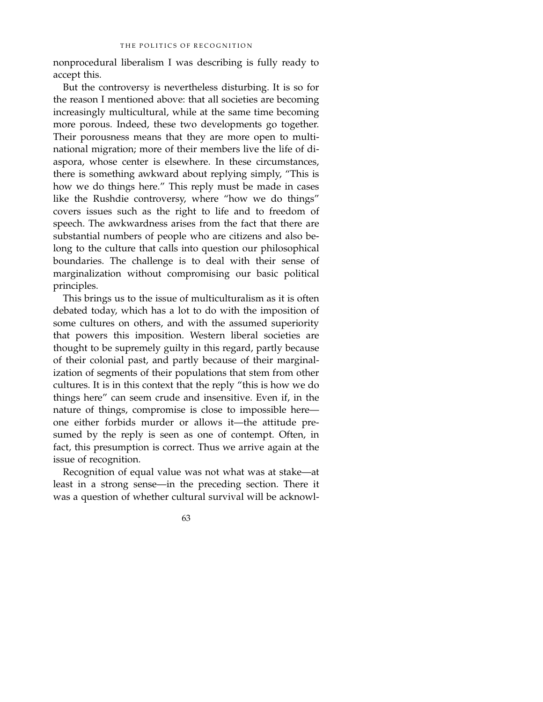nonprocedural liberalism I was describing is fully ready to accept this.

But the controversy is nevertheless disturbing. It is so for the reason I mentioned above: that all societies are becoming increasingly multicultural, while at the same time becoming more porous. Indeed, these two developments go together. Their porousness means that they are more open to multinational migration; more of their members live the life of diaspora, whose center is elsewhere. In these circumstances, there is something awkward about replying simply, "This is how we do things here." This reply must be made in cases like the Rushdie controversy, where "how we do things" covers issues such as the right to life and to freedom of speech. The awkwardness arises from the fact that there are substantial numbers of people who are citizens and also belong to the culture that calls into question our philosophical boundaries. The challenge is to deal with their sense of marginalization without compromising our basic political principles.

This brings us to the issue of multiculturalism as it is often debated today, which has a lot to do with the imposition of some cultures on others, and with the assumed superiority that powers this imposition. Western liberal societies are thought to be supremely guilty in this regard, partly because of their colonial past, and partly because of their marginalization of segments of their populations that stem from other cultures. It is in this context that the reply "this is how we do things here" can seem crude and insensitive. Even if, in the nature of things, compromise is close to impossible here one either forbids murder or allows it—the attitude presumed by the reply is seen as one of contempt. Often, in fact, this presumption is correct. Thus we arrive again at the issue of recognition.

Recognition of equal value was not what was at stake—at least in a strong sense—in the preceding section. There it was a question of whether cultural survival will be acknowl-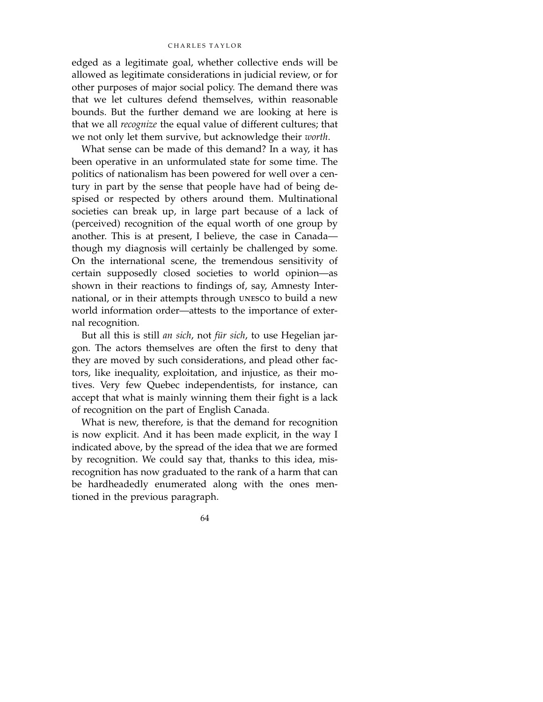edged as a legitimate goal, whether collective ends will be allowed as legitimate considerations in judicial review, or for other purposes of major social policy. The demand there was that we let cultures defend themselves, within reasonable bounds. But the further demand we are looking at here is that we all *recognize* the equal value of different cultures; that we not only let them survive, but acknowledge their *worth*.

What sense can be made of this demand? In a way, it has been operative in an unformulated state for some time. The politics of nationalism has been powered for well over a century in part by the sense that people have had of being despised or respected by others around them. Multinational societies can break up, in large part because of a lack of (perceived) recognition of the equal worth of one group by another. This is at present, I believe, the case in Canada though my diagnosis will certainly be challenged by some. On the international scene, the tremendous sensitivity of certain supposedly closed societies to world opinion—as shown in their reactions to findings of, say, Amnesty International, or in their attempts through UNESCO to build a new world information order—attests to the importance of external recognition.

But all this is still *an sich*, not *für sich*, to use Hegelian jargon. The actors themselves are often the first to deny that they are moved by such considerations, and plead other factors, like inequality, exploitation, and injustice, as their motives. Very few Quebec independentists, for instance, can accept that what is mainly winning them their fight is a lack of recognition on the part of English Canada.

What is new, therefore, is that the demand for recognition is now explicit. And it has been made explicit, in the way I indicated above, by the spread of the idea that we are formed by recognition. We could say that, thanks to this idea, misrecognition has now graduated to the rank of a harm that can be hardheadedly enumerated along with the ones mentioned in the previous paragraph.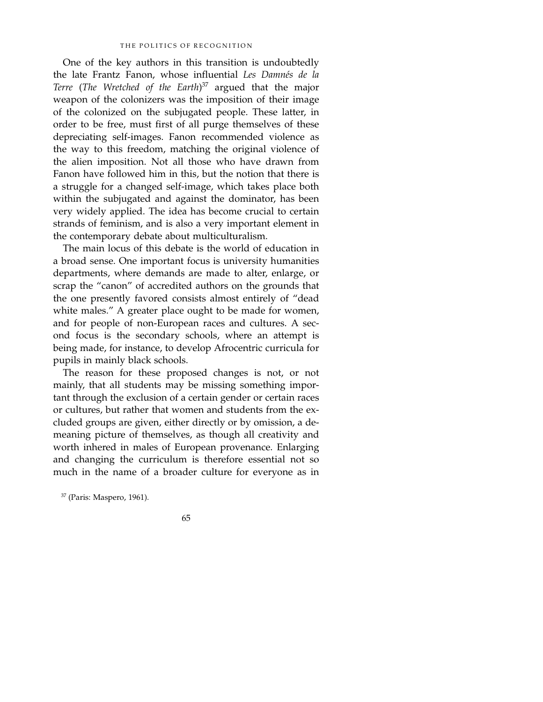# THE POLITICS OF RECOGNITION

One of the key authors in this transition is undoubtedly the late Frantz Fanon, whose influential *Les Damnés de la Terre* (*The Wretched of the Earth*) <sup>37</sup> argued that the major weapon of the colonizers was the imposition of their image of the colonized on the subjugated people. These latter, in order to be free, must first of all purge themselves of these depreciating self-images. Fanon recommended violence as the way to this freedom, matching the original violence of the alien imposition. Not all those who have drawn from Fanon have followed him in this, but the notion that there is a struggle for a changed self-image, which takes place both within the subjugated and against the dominator, has been very widely applied. The idea has become crucial to certain strands of feminism, and is also a very important element in the contemporary debate about multiculturalism.

The main locus of this debate is the world of education in a broad sense. One important focus is university humanities departments, where demands are made to alter, enlarge, or scrap the "canon" of accredited authors on the grounds that the one presently favored consists almost entirely of "dead white males." A greater place ought to be made for women, and for people of non-European races and cultures. A second focus is the secondary schools, where an attempt is being made, for instance, to develop Afrocentric curricula for pupils in mainly black schools.

The reason for these proposed changes is not, or not mainly, that all students may be missing something important through the exclusion of a certain gender or certain races or cultures, but rather that women and students from the excluded groups are given, either directly or by omission, a demeaning picture of themselves, as though all creativity and worth inhered in males of European provenance. Enlarging and changing the curriculum is therefore essential not so much in the name of a broader culture for everyone as in

<sup>37</sup> (Paris: Maspero, 1961).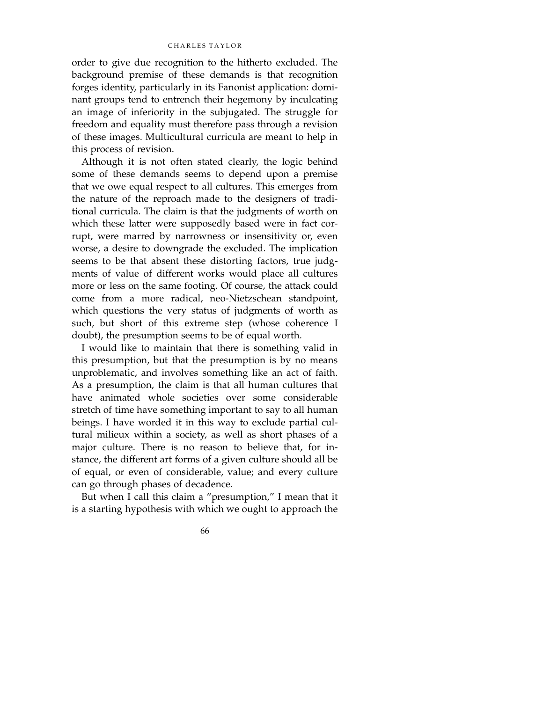order to give due recognition to the hitherto excluded. The background premise of these demands is that recognition forges identity, particularly in its Fanonist application: dominant groups tend to entrench their hegemony by inculcating an image of inferiority in the subjugated. The struggle for freedom and equality must therefore pass through a revision of these images. Multicultural curricula are meant to help in this process of revision.

Although it is not often stated clearly, the logic behind some of these demands seems to depend upon a premise that we owe equal respect to all cultures. This emerges from the nature of the reproach made to the designers of traditional curricula. The claim is that the judgments of worth on which these latter were supposedly based were in fact corrupt, were marred by narrowness or insensitivity or, even worse, a desire to downgrade the excluded. The implication seems to be that absent these distorting factors, true judgments of value of different works would place all cultures more or less on the same footing. Of course, the attack could come from a more radical, neo-Nietzschean standpoint, which questions the very status of judgments of worth as such, but short of this extreme step (whose coherence I doubt), the presumption seems to be of equal worth.

I would like to maintain that there is something valid in this presumption, but that the presumption is by no means unproblematic, and involves something like an act of faith. As a presumption, the claim is that all human cultures that have animated whole societies over some considerable stretch of time have something important to say to all human beings. I have worded it in this way to exclude partial cultural milieux within a society, as well as short phases of a major culture. There is no reason to believe that, for instance, the different art forms of a given culture should all be of equal, or even of considerable, value; and every culture can go through phases of decadence.

But when I call this claim a "presumption," I mean that it is a starting hypothesis with which we ought to approach the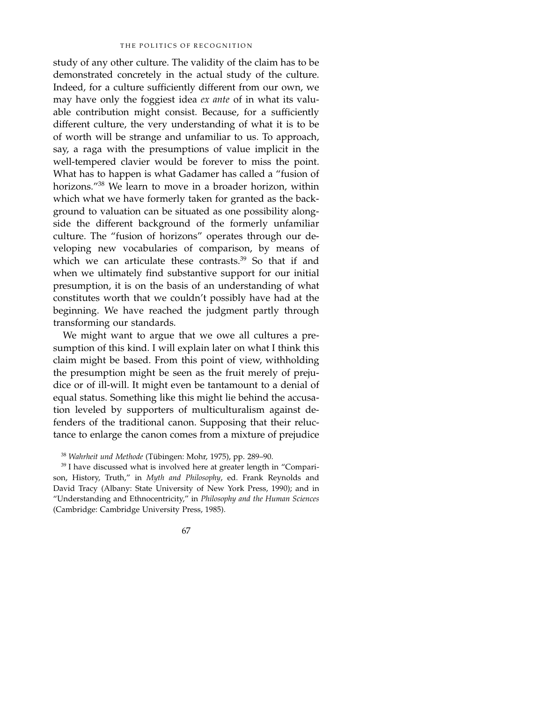# THE POLITICS OF RECOGNITION

study of any other culture. The validity of the claim has to be demonstrated concretely in the actual study of the culture. Indeed, for a culture sufficiently different from our own, we may have only the foggiest idea *ex ante* of in what its valuable contribution might consist. Because, for a sufficiently different culture, the very understanding of what it is to be of worth will be strange and unfamiliar to us. To approach, say, a raga with the presumptions of value implicit in the well-tempered clavier would be forever to miss the point. What has to happen is what Gadamer has called a "fusion of horizons."<sup>38</sup> We learn to move in a broader horizon, within which what we have formerly taken for granted as the background to valuation can be situated as one possibility alongside the different background of the formerly unfamiliar culture. The "fusion of horizons" operates through our developing new vocabularies of comparison, by means of which we can articulate these contrasts.<sup>39</sup> So that if and when we ultimately find substantive support for our initial presumption, it is on the basis of an understanding of what constitutes worth that we couldn't possibly have had at the beginning. We have reached the judgment partly through transforming our standards.

We might want to argue that we owe all cultures a presumption of this kind. I will explain later on what I think this claim might be based. From this point of view, withholding the presumption might be seen as the fruit merely of prejudice or of ill-will. It might even be tantamount to a denial of equal status. Something like this might lie behind the accusation leveled by supporters of multiculturalism against defenders of the traditional canon. Supposing that their reluctance to enlarge the canon comes from a mixture of prejudice

<sup>38</sup> *Wahrheit und Methode* (Tübingen: Mohr, 1975), pp. 289–90.

<sup>39</sup> I have discussed what is involved here at greater length in "Comparison, History, Truth," in *Myth and Philosophy*, ed. Frank Reynolds and David Tracy (Albany: State University of New York Press, 1990); and in "Understanding and Ethnocentricity," in *Philosophy and the Human Sciences* (Cambridge: Cambridge University Press, 1985).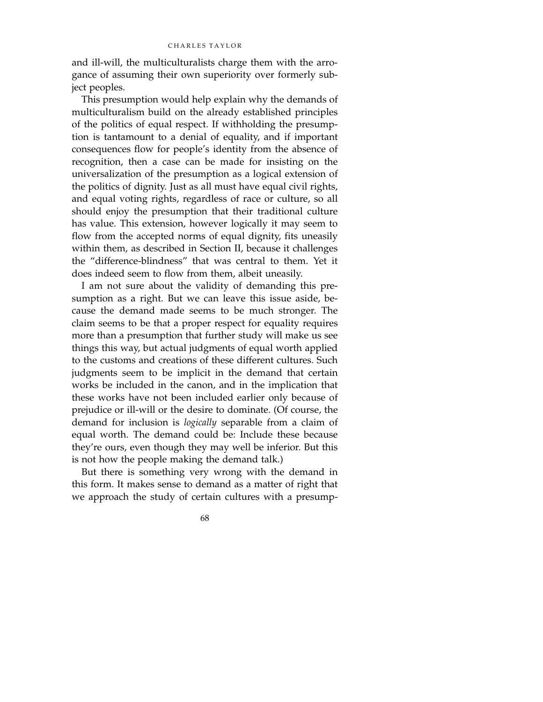and ill-will, the multiculturalists charge them with the arrogance of assuming their own superiority over formerly subject peoples.

This presumption would help explain why the demands of multiculturalism build on the already established principles of the politics of equal respect. If withholding the presumption is tantamount to a denial of equality, and if important consequences flow for people's identity from the absence of recognition, then a case can be made for insisting on the universalization of the presumption as a logical extension of the politics of dignity. Just as all must have equal civil rights, and equal voting rights, regardless of race or culture, so all should enjoy the presumption that their traditional culture has value. This extension, however logically it may seem to flow from the accepted norms of equal dignity, fits uneasily within them, as described in Section II, because it challenges the "difference-blindness" that was central to them. Yet it does indeed seem to flow from them, albeit uneasily.

I am not sure about the validity of demanding this presumption as a right. But we can leave this issue aside, because the demand made seems to be much stronger. The claim seems to be that a proper respect for equality requires more than a presumption that further study will make us see things this way, but actual judgments of equal worth applied to the customs and creations of these different cultures. Such judgments seem to be implicit in the demand that certain works be included in the canon, and in the implication that these works have not been included earlier only because of prejudice or ill-will or the desire to dominate. (Of course, the demand for inclusion is *logically* separable from a claim of equal worth. The demand could be: Include these because they're ours, even though they may well be inferior. But this is not how the people making the demand talk.)

But there is something very wrong with the demand in this form. It makes sense to demand as a matter of right that we approach the study of certain cultures with a presump-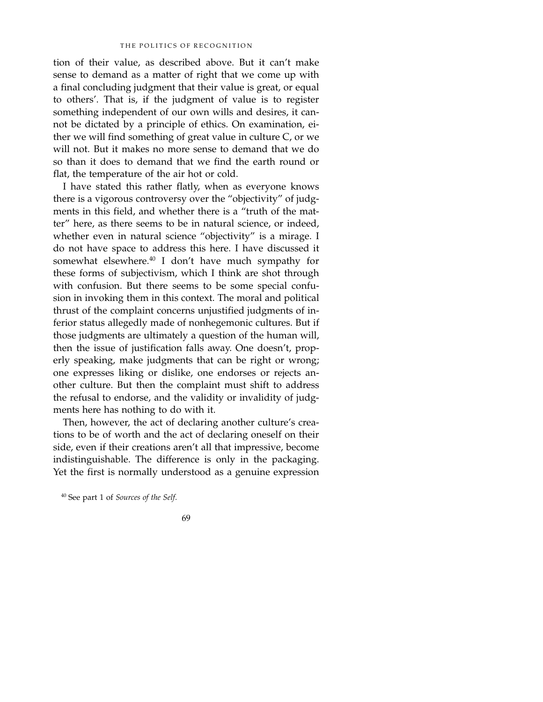tion of their value, as described above. But it can't make sense to demand as a matter of right that we come up with a final concluding judgment that their value is great, or equal to others'. That is, if the judgment of value is to register something independent of our own wills and desires, it cannot be dictated by a principle of ethics. On examination, either we will find something of great value in culture C, or we will not. But it makes no more sense to demand that we do so than it does to demand that we find the earth round or flat, the temperature of the air hot or cold.

I have stated this rather flatly, when as everyone knows there is a vigorous controversy over the "objectivity" of judgments in this field, and whether there is a "truth of the matter" here, as there seems to be in natural science, or indeed, whether even in natural science "objectivity" is a mirage. I do not have space to address this here. I have discussed it somewhat elsewhere. $40$  I don't have much sympathy for these forms of subjectivism, which I think are shot through with confusion. But there seems to be some special confusion in invoking them in this context. The moral and political thrust of the complaint concerns unjustified judgments of inferior status allegedly made of nonhegemonic cultures. But if those judgments are ultimately a question of the human will, then the issue of justification falls away. One doesn't, properly speaking, make judgments that can be right or wrong; one expresses liking or dislike, one endorses or rejects another culture. But then the complaint must shift to address the refusal to endorse, and the validity or invalidity of judgments here has nothing to do with it.

Then, however, the act of declaring another culture's creations to be of worth and the act of declaring oneself on their side, even if their creations aren't all that impressive, become indistinguishable. The difference is only in the packaging. Yet the first is normally understood as a genuine expression

<sup>40</sup> See part 1 of *Sources of the Self*.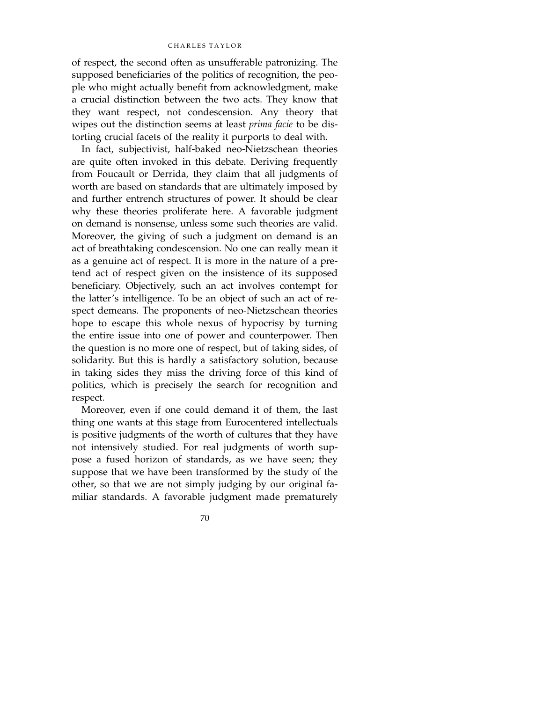of respect, the second often as unsufferable patronizing. The supposed beneficiaries of the politics of recognition, the people who might actually benefit from acknowledgment, make a crucial distinction between the two acts. They know that they want respect, not condescension. Any theory that wipes out the distinction seems at least *prima facie* to be distorting crucial facets of the reality it purports to deal with.

In fact, subjectivist, half-baked neo-Nietzschean theories are quite often invoked in this debate. Deriving frequently from Foucault or Derrida, they claim that all judgments of worth are based on standards that are ultimately imposed by and further entrench structures of power. It should be clear why these theories proliferate here. A favorable judgment on demand is nonsense, unless some such theories are valid. Moreover, the giving of such a judgment on demand is an act of breathtaking condescension. No one can really mean it as a genuine act of respect. It is more in the nature of a pretend act of respect given on the insistence of its supposed beneficiary. Objectively, such an act involves contempt for the latter's intelligence. To be an object of such an act of respect demeans. The proponents of neo-Nietzschean theories hope to escape this whole nexus of hypocrisy by turning the entire issue into one of power and counterpower. Then the question is no more one of respect, but of taking sides, of solidarity. But this is hardly a satisfactory solution, because in taking sides they miss the driving force of this kind of politics, which is precisely the search for recognition and respect.

Moreover, even if one could demand it of them, the last thing one wants at this stage from Eurocentered intellectuals is positive judgments of the worth of cultures that they have not intensively studied. For real judgments of worth suppose a fused horizon of standards, as we have seen; they suppose that we have been transformed by the study of the other, so that we are not simply judging by our original familiar standards. A favorable judgment made prematurely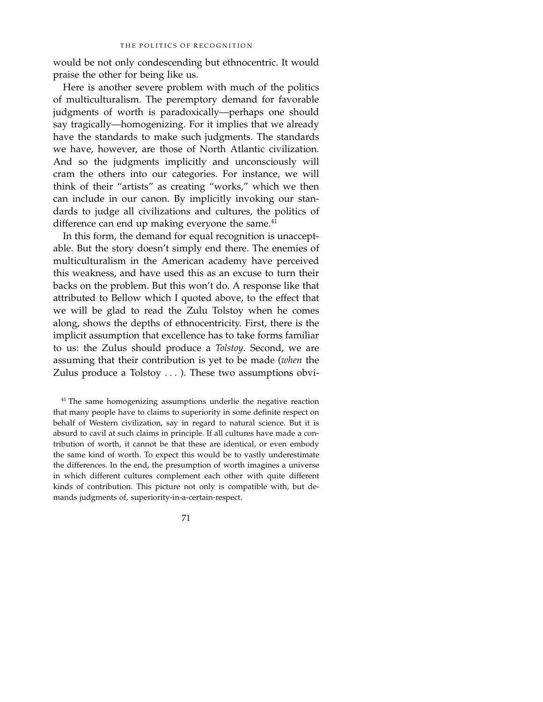would be not only condescending but ethnocentric. It would praise the other for being like us.

Here is another severe problem with much of the politics of multiculturalism. The peremptory demand for favorable judgments of worth is paradoxically—perhaps one should say tragically—homogenizing. For it implies that we already have the standards to make such judgments. The standards we have, however, are those of North Atlantic civilization. And so the judgments implicitly and unconsciously will cram the others into our categories. For instance, we will think of their "artists" as creating "works," which we then can include in our canon. By implicitly invoking our standards to judge all civilizations and cultures, the politics of difference can end up making everyone the same.<sup>41</sup>

In this form, the demand for equal recognition is unacceptable. But the story doesn't simply end there. The enemies of multiculturalism in the American academy have perceived this weakness, and have used this as an excuse to turn their backs on the problem. But this won't do. A response like that attributed to Bellow which I quoted above, to the effect that we will be glad to read the Zulu Tolstoy when he comes along, shows the depths of ethnocentricity. First, there is the implicit assumption that excellence has to take forms familiar to us: the Zulus should produce a *Tolstoy*. Second, we are assuming that their contribution is yet to be made (*when* the Zulus produce a Tolstoy . . . ). These two assumptions obvi-

<sup>41</sup> The same homogenizing assumptions underlie the negative reaction that many people have to claims to superiority in some definite respect on behalf of Western civilization, say in regard to natural science. But it is absurd to cavil at such claims in principle. If all cultures have made a contribution of worth, it cannot be that these are identical, or even embody the same kind of worth. To expect this would be to vastly underestimate the differences. In the end, the presumption of worth imagines a universe in which different cultures complement each other with quite different kinds of contribution. This picture not only is compatible with, but demands judgments of, superiority-in-a-certain-respect.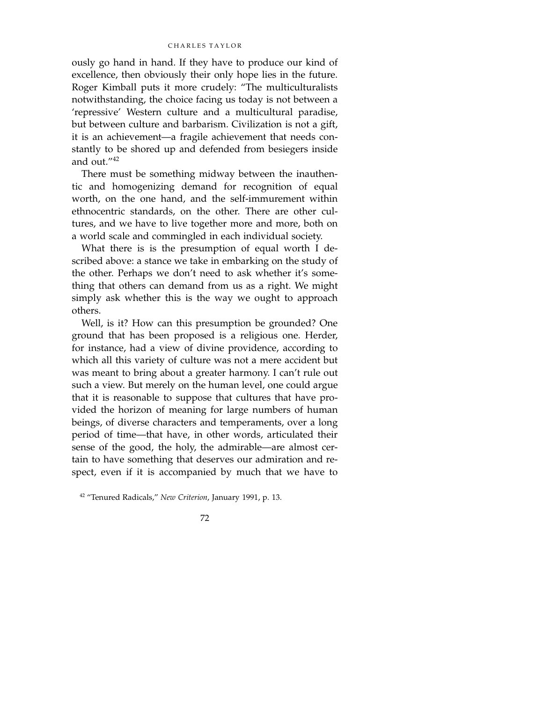ously go hand in hand. If they have to produce our kind of excellence, then obviously their only hope lies in the future. Roger Kimball puts it more crudely: "The multiculturalists notwithstanding, the choice facing us today is not between a 'repressive' Western culture and a multicultural paradise, but between culture and barbarism. Civilization is not a gift, it is an achievement—a fragile achievement that needs constantly to be shored up and defended from besiegers inside and out."<sup>42</sup>

There must be something midway between the inauthentic and homogenizing demand for recognition of equal worth, on the one hand, and the self-immurement within ethnocentric standards, on the other. There are other cultures, and we have to live together more and more, both on a world scale and commingled in each individual society.

What there is is the presumption of equal worth I described above: a stance we take in embarking on the study of the other. Perhaps we don't need to ask whether it's something that others can demand from us as a right. We might simply ask whether this is the way we ought to approach others.

Well, is it? How can this presumption be grounded? One ground that has been proposed is a religious one. Herder, for instance, had a view of divine providence, according to which all this variety of culture was not a mere accident but was meant to bring about a greater harmony. I can't rule out such a view. But merely on the human level, one could argue that it is reasonable to suppose that cultures that have provided the horizon of meaning for large numbers of human beings, of diverse characters and temperaments, over a long period of time—that have, in other words, articulated their sense of the good, the holy, the admirable—are almost certain to have something that deserves our admiration and respect, even if it is accompanied by much that we have to

<sup>42</sup> "Tenured Radicals," *New Criterion*, January 1991, p. 13.